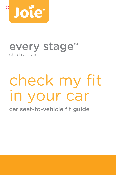

# every stage™ child restraint

# check my fit in your car

car seat-to-vehicle fit guide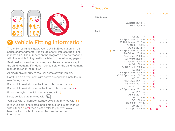## $\bigcap$



# GB Vehicle Fitting Information

This child restraint is approved to UN ECE regulation 44, 04 series of amendments. It is suitable to fix into seat positions in most cars. The numbers on the diagram below correspond with the vehicle fitting positions listed in the following pages.

Seat positions in other cars may also be suitable to accept the child restraint. If in doubt, consult either the child restraint manufacturer or the retailer.

ALWAYS give priority to the rear seats of your vehicle.

Don't use it on front seat with active airbag when installed in rear facing mode.

If your child restraint can be fitted, it is marked with •

If your child restraint cannot be fitted, it is marked with x

Electric or hybrid vehicles are marked with  $\overline{\mathbf{z}}$ 

i-Size vehicles are marked with  $\mathbf{S}$ 

Vehicles with underfloor storage boxes are marked with SB!

If your vehicle is not listed in this manual or it is not marked with either a • or x then please refer to your vehicle's handbook or contact the manufacturer for further information.

Group 0+

Alfa Romeo

## $(1)$   $(2)$   $(3)$   $(4)$   $(5)$   $(6)$   $(7)$

Guilietta (2010 >) • • • • • • x - - Mito  $(2009 >)$  . - - - - -

Audi

| A1 $(2011)$                  |   |   | x            |                           |                          |                              |   |
|------------------------------|---|---|--------------|---------------------------|--------------------------|------------------------------|---|
| A1 Sportback (2012 >)        |   | ٠ | ×            | ٠                         |                          |                              |   |
| A3 Hatchback (2012 >)        |   | ٠ | x            | ٠                         |                          |                              |   |
| A3 (1996 - 2003)             | × |   | ×            | ۰                         |                          |                              |   |
| A3 S3 (2012 >)               | ٠ | ٠ | ×            | ٠                         |                          |                              |   |
| A3 e-Tron Sportback (2015 >) |   |   | x            | ٠                         |                          |                              |   |
| A3 Saloon (2014 >)           |   | ٠ | $\mathbf{x}$ | ٠                         |                          |                              |   |
| A4 Allroad (2009 >)          |   |   | ×            |                           |                          |                              |   |
| A4 Avant (2008 >)            |   | ٠ | x            | ٠                         |                          |                              |   |
| A4 Saloon (2008 >)           |   | ۰ | $\mathbf{x}$ | ٠                         |                          | $\overline{\phantom{a}}$     |   |
| A4 S4 (2009 >)               |   |   | x            | ۰                         |                          |                              |   |
| A4 S4 Avant (2009 >)         |   |   | x            |                           |                          |                              |   |
| A5 (2007)                    | ٠ | ٠ | x            | ٠                         |                          |                              |   |
| A5 Sportback (2009 >)        |   | ٠ | x            | ٠                         |                          |                              |   |
| A5 S5 Sportback (2007 >)     |   |   | $\mathbf{x}$ | ٠                         |                          |                              |   |
| A6 (2011)                    |   |   | ×            | ۰                         |                          |                              |   |
| A6 Allroad (2011 >)          | ٠ | ٠ | ×            | ٠                         |                          |                              |   |
| A6 Avant (2011 >)            |   | ٠ | ×            |                           |                          |                              |   |
| A6 S6 $(2011)$               |   |   |              | ٠                         |                          | $\overline{\phantom{a}}$     |   |
|                              |   |   | $\mathsf{x}$ |                           |                          |                              |   |
| A7 Sportback (2011 >)        |   |   | ×            | ٠                         |                          |                              |   |
| A8 $(2011)$                  |   |   |              | ٠                         |                          |                              |   |
| A8 S8 (2011 >)               |   |   |              |                           |                          |                              |   |
| Q3 (2013)                    |   |   | ×            |                           |                          |                              |   |
| Q5(2009)                     |   | ٠ | ×            | ٠                         |                          |                              |   |
| Q7 (2006 - 2014)             |   |   |              | ۰                         | x                        | $\qquad \qquad \blacksquare$ | × |
| Q7 (2015)                    |   |   |              |                           | ×                        | $\overline{\phantom{0}}$     | × |
| TT Coupe (2006 >)            |   |   | $X -$        | $\boldsymbol{\mathsf{x}}$ | $\overline{\phantom{0}}$ | $\overline{\phantom{a}}$     |   |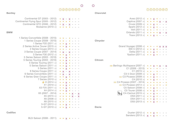|                                                                                       | 0000000                                                       |                                                                            | ののののののの                                                         |
|---------------------------------------------------------------------------------------|---------------------------------------------------------------|----------------------------------------------------------------------------|-----------------------------------------------------------------|
|                                                                                       |                                                               |                                                                            |                                                                 |
| Bentley                                                                               |                                                               | Chevrolet                                                                  |                                                                 |
|                                                                                       |                                                               |                                                                            |                                                                 |
| Continental GT (2003 - 2012) • $x - x -$                                              |                                                               |                                                                            | Aveo (2012 >) $\cdot \cdot \cdot$ x $\cdot$ - - -               |
| Continental Flying Spur (2005 - 2012) $\cdot \cdot \cdot \cdot$ - - -                 |                                                               |                                                                            | Captiva (2007 >) $\cdot \cdot \cdot \cdot$ $\cdot \cdot$ x - x  |
| Continental GTC (2006 - 2012) • $x - x -$                                             |                                                               |                                                                            | Cruze (2009 >) • • $\times$ • – – –                             |
| Mulsanne (2010 >) $\cdot \cdot \cdot \cdot$ - - -                                     |                                                               |                                                                            | Spark (2012 >) • • $x$ • - - -                                  |
|                                                                                       |                                                               |                                                                            | Volt $(2011 >) \cdot \cdot \cdot - \cdot -$                     |
| <b>BMW</b>                                                                            |                                                               |                                                                            | Orlando (2011 >) $\cdot \cdot \cdot \cdot \cdot$ x - x          |
|                                                                                       |                                                               |                                                                            | Traxx (2013 >) $\cdot \cdot \cdot$ x $\cdot$ - - -              |
| 1 Series Convertible (2008 - 2015) ••• -• - -                                         |                                                               |                                                                            |                                                                 |
| 1 Series Coupe (2008 - 2015) ••• -• - -                                               |                                                               | Chrysler                                                                   |                                                                 |
| 1 Series F20 (2011 >) $\cdot \cdot \cdot$ x $\cdot$ - - -                             |                                                               |                                                                            |                                                                 |
| 2 Series Active Tourer (2015 >) $\cdot \cdot \cdot$ x $\cdot$ - - -                   |                                                               | Grand Voyager (2008 >) $\cdot \cdot$ - $\cdot \times \times$               |                                                                 |
| 2 Series Coupe (2014 >) $\cdot \cdot$ $\cdot$ $\cdot$ $\cdot$ $\cdot$ $\cdot$ $\cdot$ |                                                               |                                                                            | 300 C (2012 >) $\bullet \bullet \times \bullet$ - - -           |
| 3 Series Coupe (2007 - 2014) • x - x - - -                                            |                                                               |                                                                            | Delta (2011 >) $\cdot \cdot \cdot$ $\cdot$ - - -                |
| 3 Series F30 (2012 >) • • x • - - -                                                   |                                                               |                                                                            | Ypsilon (2011 >) $\cdot \cdot \cdot$ x $\cdot$ - - -            |
| 5 Series Saloon (2003 - 2010) • • x • - - -                                           |                                                               |                                                                            |                                                                 |
| 5 Series Touring (2003 - 2010) • • x • - - -                                          |                                                               | Citroen                                                                    |                                                                 |
| 5 Series Touring $(2011)$ $\cdot \cdot \cdot$ $\cdot$ $\cdot$ - - -                   |                                                               |                                                                            |                                                                 |
| 5 Series Saloon (2011 >) • • x • - - -                                                |                                                               | SB! Berlingo Multispace (2007 >) $\cdot \cdot \cdot$ x $\cdot \cdot$ x - x |                                                                 |
|                                                                                       | 5 Series (2011 >) $\bullet \bullet \times \bullet - -$        |                                                                            | $C1 (2006 - 2015) \cdot \cdot \cdot - \cdot -$                  |
| 6 Series Coupe (2011 >) • $x - x -$                                                   |                                                               |                                                                            | $C1 (2015>) \cdot \cdot \cdot - \cdot -$                        |
| 6 Series Convertible (2011 >) • $x - x -$                                             |                                                               | C3 5 Door (2009 >) $\bullet \bullet x \bullet - -$                         |                                                                 |
| 6 Series Gran Coupe (2011 >) $\cdot \cdot \cdot$ x $\cdot$ - - -                      |                                                               | SB! C3 Picasso (2009 >) $\cdot \cdot \cdot$ x $\cdot$ - - -                |                                                                 |
|                                                                                       | 7 Series (2010 >) $\bullet \bullet \bullet \bullet \bullet -$ |                                                                            | $C4 (2010 >) \cdot \cdot \cdot \cdot x \cdot -$                 |
|                                                                                       |                                                               |                                                                            |                                                                 |
|                                                                                       | $\frac{1}{2}$ i3 (2014 >) • • x • - - -                       | SB! C4 Picasso (2007 - 2014)                                               |                                                                 |
|                                                                                       | $X1 (2010 >) \cdot \cdot \cdot \cdot X \cdot - -$             | SB! C4 Picasso (2014 >) $\cdot \cdot \cdot \cdot \cdot$ $\cdot \cdot$      |                                                                 |
|                                                                                       | $X3 F25 (2011 >) \cdot \cdot \cdot \cdot$ x $\cdot$ - - -     | C5 Saloon (2008 >) $\cdot \cdot \cdot$ x $\cdot$ - - -                     |                                                                 |
|                                                                                       | $X4(2014>)$ . $X + - -$                                       | C5 Tourer (2008 >) $\cdot \cdot \cdot$ x $\cdot$ - - -                     |                                                                 |
|                                                                                       | $X5(2007 - 2014)$ x - x                                       | C4-Cactus (2015 >) • • $\times$ • - - -                                    |                                                                 |
|                                                                                       | $X5 (2015) \cdot \cdot \cdot \cdot \cdot \times - \times$     |                                                                            | $DS3 (2011 >) \cdot \cdot \cdot \times \cdot$ - - -             |
|                                                                                       | $X6 (2008 >)$                                                 |                                                                            | $DS4 (2011 >) \cdot \cdot \cdot \times \cdot$ - - -             |
|                                                                                       | $X6(2015)$                                                    |                                                                            | $DS5 (2013>)$ $\bullet \bullet \bullet \bullet$ $\bullet$ - - - |
|                                                                                       | $3-GT (2013>)$ $\bullet \bullet \bullet \bullet$              |                                                                            |                                                                 |
|                                                                                       | 5-GT (2010 >) $\bullet \bullet \times \bullet - -$            | Dacia                                                                      |                                                                 |
| Cadillac                                                                              |                                                               |                                                                            | Duster (2012 >) $\cdot \cdot \cdot$ x $\cdot$ - - -             |
|                                                                                       |                                                               |                                                                            | Sandero (2013 >) $x \cdot x \cdot -$                            |
| BLS Saloon (2006 - 2011) • • x • - - -                                                |                                                               |                                                                            |                                                                 |

 $\sim$ 

 $\sim$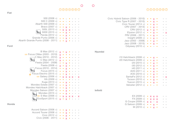

Fiat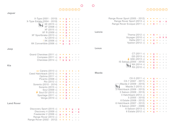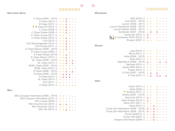|                                                                                                                                                                                                                                                                                                                                                                                                                                                                                                                                                                                      | $0@0@0@0\,$                                  |                                                                                                                                                                                                                                                                                                                                                                                                                                                                                                                                         | 0000000                                                                                                                        |  |
|--------------------------------------------------------------------------------------------------------------------------------------------------------------------------------------------------------------------------------------------------------------------------------------------------------------------------------------------------------------------------------------------------------------------------------------------------------------------------------------------------------------------------------------------------------------------------------------|----------------------------------------------|-----------------------------------------------------------------------------------------------------------------------------------------------------------------------------------------------------------------------------------------------------------------------------------------------------------------------------------------------------------------------------------------------------------------------------------------------------------------------------------------------------------------------------------------|--------------------------------------------------------------------------------------------------------------------------------|--|
| les-Benz                                                                                                                                                                                                                                                                                                                                                                                                                                                                                                                                                                             |                                              | Mitsubishi                                                                                                                                                                                                                                                                                                                                                                                                                                                                                                                              |                                                                                                                                |  |
| A Class (2005 - 2012) $\cdot \cdot \cdot$ x $\cdot$ - -<br>A Class (2013 >) $\cdot \cdot \cdot$ x $\cdot$ -<br>B Class (2012 >) $\cdot \cdot \cdot$ x $\cdot$ -<br>$\frac{1}{2}$ B Class EV (2015 >) $\cdot \cdot \cdot$ x $\cdot$ - -<br>C Class (2008 >) $\cdot \cdot \cdot$ x $\cdot$ -<br>C Class Estate (2008 >) $\cdot \cdot \cdot$ x $\cdot$ -<br>C Class Coupe $(2011 >) \cdot \cdot \cdot$ - - -<br>C Class Estate (2015 >) $\cdot \cdot \cdot$ x $\cdot$ -<br>CLS Shootingbrake $(2012) \cdot \cdot \cdot \cdot$ x $\cdot$ -<br>CLS Coupe $(2011) \cdot \cdot \cdot \cdot$ | CLA (2013 >) $\cdot \cdot \cdot$ x $\cdot$ - | $ASK (2010 >) \cdot \cdot \cdot$<br>Colt (2007 - 2013) $\bullet$ •<br>Lancer (2008 - 2011) • •<br>Lancer Sportback (2008 - 2011) • •<br>Lancer Ralliart (2009 - 2011) $\cdot \cdot$<br>Outlander (2007 - 2013) • X<br>Outlander (2013 >) $\times$ •<br>◆ Outlander PHEV (2015 >) $\times$ •<br>Shoqun $(2007) \cdot \cdot \cdot$<br>Nissan                                                                                                                                                                                              | $X - - -$                                                                                                                      |  |
| E Class Saloon (2009 - 2012) • • x • - -<br>E Class Coupe $(2009) \cdot \cdot \cdot - \cdot -$<br>E Class Estate (2013) $\cdot \cdot \cdot$ x $\cdot$ - -<br>E Class Saloon (2013 >) $\cdot \cdot \cdot$ x $\cdot$ - $\cdot$<br>GL Class (2006 - 2012) • • $x \cdot x$ -<br>GL Class (2012 >) $\cdot \cdot \cdot$ x $\cdot$ x -<br>M/ML Class (2005 - 2012) _<br>M/ML Class (2012 >) $\cdot \cdot \cdot \cdot$ - -<br>R Class (2006 - 2012) • • x • x -<br>S Class (2006 - 2013) • x x x - -<br>S Class (2015 >) • x x x - -<br>SL Class $(2012) \cdot - - - - -$                    | SLK $(2011 >) \cdot - - - - -$               | Juke $(2010) \cdot \cdot \cdot$<br>Micra $(2011) \cdot \cdot \cdot$<br>Note $(2006 - 2013) \cdot \cdot \cdot$<br>Note $(2014) \cdot \cdot \cdot$<br>Qashqai+2 (2008 - 2015) x ·<br>Qashqai $(2014) \cdot \cdot \cdot$<br>Quest MPV (2012 $>$ ) $\cdot \cdot$<br>Pulsar (2015 >) $\bullet \bullet$<br>X-Trail (2007 - 2015) • x<br>X-Trail (2015 >) • $\times$<br>Opel                                                                                                                                                                   | $ -$<br>$\bullet$ $-$<br>$\bullet$ X - X<br>$ -$<br>$\bullet\quad \bullet\quad \  \, -\quad \bullet$<br>$X - - -$<br>$X X - X$ |  |
| V Class (2015 >) $\cdot \cdot \cdot \cdot \cdot$<br>Aini (Cooper) Hatchback (2006 - 2014) • • - • - -<br>Mini (Cooper) Hatchback (2014 >) $\cdot \cdot$ $\cdot$ $\cdot$ $\cdot$ $\cdot$ $\cdot$<br>Mini Coupe $(2009 >) \cdot - - - -$<br>Mini Countryman (2010 >) $x \cdot x \cdot -$<br>Mini Paceman $(2013) \cdot \cdot \cdot \cdot$<br>Mini 5dr (2015 >) $\bullet \bullet x \bullet -$                                                                                                                                                                                           |                                              | Adam (2013 >) $\bullet \bullet$<br>Agila $(2008 >) \cdot \cdot \cdot$<br><b><math>\frac{1}{2}</math></b> Ampera (2011 >) • •<br>Antara (2007 - 2015) $\bullet$ $\bullet$<br>Astra 5dr (2010 >) $\sqrt{ }$ •<br>Astra Estate (2010 >) $\times$ •<br>Astra GTC $(2011) \cdot \cdot \cdot$<br>Astra (2015 >) $\bullet \bullet \times \bullet$ - - -<br>Corsa 3dr Hatchback (2006 - 2015) x · x · - - -<br>Corsa 5dr Hatchback (2006 - 2015) $X \cdot X \cdot - -$<br>Corsa 5dr(2015 >) • • $\times$ • – – –<br>Corsa VXR (2007 >) $\times$ | $\bullet$ $-$                                                                                                                  |  |

- 
- Corsa 3dr Hatchback (2006 2015)<br>Corsa 5dr Hatchback (2006 2015)<br>Corsa 5dr(2015 >)<br>Corsa VXR (2007 >)<br>Insignia Hatchback (2009 >)
	-
	-

 $\circ$  $\circ$ 

#### Merced

#### Mini

|  |  | Mini (Cooper) Hatchback (2006 - 2014) • • - • -<br>Mini (Cooper) Hatchback (2014 $>$ ) $\cdot$ $\cdot$ $\cdot$ $\cdot$ $\cdot$<br>Mini Coupe $(2009 >) \bullet - - - -$<br>Mini Countryman (2010 >) $x \cdot x$ -<br>Mini Paceman $(2013)$<br>Mini 5dr (2015 >) $\bullet \bullet x \bullet -$ |
|--|--|-----------------------------------------------------------------------------------------------------------------------------------------------------------------------------------------------------------------------------------------------------------------------------------------------|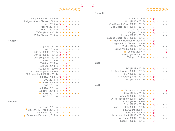#### 1)(2)(3)(4)(5)(6)(7

#### $\circ$  $\circ$

# 1)(2)(3)(4)(5)(6)(7

#### Renault

| Captur (2015 >)<br>Clio (2005 - 2012)<br>Clio Renault Sport (2006 - 2012)<br>Clio Sport Tourer (2007 - 2012)<br>Clio (2013>)<br>Kadjar (2015 >)<br>Laguna (2008 - 2012)<br>Laguna Sport Tourer (2008 - 2012)<br>SB! Megane Hatchback (2008 >)<br>Megane Sport Tourer (2009 >)<br>Modus (2004 - 2012)<br>Grand Modus (2008 - 2012)<br>вв! Scenic (2009 >)<br>Twingo (2007 - 2014)<br>Twingo (2015 >) | ۰<br>۰<br>۰<br>٠<br>٠<br>۰<br>۰<br>٠<br>۰<br>۰<br>۰    | $\bullet$<br>$\bullet$<br>$\bullet$<br>$\bullet$<br>$\bullet$<br>$\bullet$<br>٠<br>٠<br>٠<br>٠<br>$\bullet$<br>$\bullet$<br>$\bullet$<br>$\bullet$<br>$\bullet$ | ×<br>X.<br>×.<br>×.<br>×<br>×<br>×<br>×<br>×<br>×<br>X.<br>×<br>٠                                      | ٠<br>٠<br>٠<br>٠<br>٠<br>۰<br>۰<br>٠<br>٠<br>۰<br>۰<br>۰<br>٠ |  | $ -$<br>- -<br>- -<br>$\overline{\phantom{a}}$<br>$\overline{\phantom{a}}$<br>$\overline{\phantom{a}}$<br>$\overline{\phantom{a}}$<br>$\overline{\phantom{a}}$<br>$\overline{\phantom{a}}$<br>$\overline{\phantom{a}}$<br>$- x$<br>$ -$ |
|-----------------------------------------------------------------------------------------------------------------------------------------------------------------------------------------------------------------------------------------------------------------------------------------------------------------------------------------------------------------------------------------------------|--------------------------------------------------------|-----------------------------------------------------------------------------------------------------------------------------------------------------------------|--------------------------------------------------------------------------------------------------------|---------------------------------------------------------------|--|-----------------------------------------------------------------------------------------------------------------------------------------------------------------------------------------------------------------------------------------|
| $9-3(2002 - 2012)$<br>9-3 Sport Wagon (2005 - 2012)<br>9-3 X (2009 - 2012)<br>9-5 Estate (2005 - 2010)<br>$9-5(2011 - 2012)$                                                                                                                                                                                                                                                                        | ۰<br>٠                                                 | ٠<br>$\bullet$ . $\bullet$ .<br>$\bullet$ . $\bullet$ .<br>$\bullet$<br>٠                                                                                       | $\times$ .<br>$\times$ .<br>×.<br>X.<br>$\mathsf{x}$                                                   | ٠<br>۰<br>٠                                                   |  |                                                                                                                                                                                                                                         |
| SB! Alhambra $(2010)$<br>Altea (2004 - 2011)<br>Altea XL (2007 - 2011)<br>Altea Freetrack4 (2007 - 2009)<br>Arosa (1997 - 2004)<br>Exeo (2008 - 2014)<br>Exeo ST Estate (2008 - 2014)<br>Ibiza Cupra (2009 >)<br>Ibiza FR (2009 >)<br>Ibiza Hatchback (2008 - 2013)<br>Leon Cupra (2007 - 2011)<br>Leon FR (2006 - 2012)                                                                            | $\bullet$<br>۰<br>٠<br>٠<br>۰<br>۰<br>٠<br>۰<br>۰<br>٠ | ٠<br>٠<br>٠<br>٠<br>٠<br>$\bullet$<br>$\bullet$<br>$\bullet$<br>$\bullet$<br>$\bullet$ . $\bullet$ .<br>$\bullet$                                               | X.<br>×.<br>×<br>$\overline{\phantom{a}}$<br>×<br>×<br>×.<br>×.<br>×.<br>×.<br>$\overline{\mathsf{x}}$ | ٠<br>٠<br>٠<br>٠<br>٠<br>۰<br>۰<br>۰<br>۰<br>۰<br>۰           |  | - <b>x</b><br>$\frac{1}{2}$<br>$\overline{\phantom{a}}$<br>$\overline{\phantom{a}}$<br>$\sim$ $\sim$<br>$\sim$ $\sim$<br>$\sim$ $\sim$<br>$ -$                                                                                          |

#### Saab

|  |  |                                                                                                                                                                                                                 | $ -$          |
|--|--|-----------------------------------------------------------------------------------------------------------------------------------------------------------------------------------------------------------------|---------------|
|  |  |                                                                                                                                                                                                                 | $ -$          |
|  |  |                                                                                                                                                                                                                 | $ -$          |
|  |  |                                                                                                                                                                                                                 | $ -$          |
|  |  |                                                                                                                                                                                                                 | $\sim$ $\sim$ |
|  |  | $9-3(2002 - 2012) \cdot \cdot \cdot \times \cdot$<br>$\bullet$ $\bullet$ $\times$ $\bullet$<br>$\bullet \bullet \times \bullet$<br>$\bullet$ $\bullet$ $\vee$ $\bullet$<br>$\bullet$ $\bullet$ $\vee$ $\bullet$ |               |

#### Seat

| SB! Alhambra $(2010)$          |  |                                        |  |      |  |
|--------------------------------|--|----------------------------------------|--|------|--|
| Altea (2004 - 2011)            |  | $\bullet$ $\bullet$ $\times$ $\bullet$ |  | $ -$ |  |
| Altea XL (2007 - 2011)         |  | $\bullet$ $\bullet$ $\times$ $\bullet$ |  | $ -$ |  |
| Altea Freetrack4 (2007 - 2009) |  | $\bullet$ $\bullet$ $\times$ $\bullet$ |  | . .  |  |
| Arosa (1997 - 2004)            |  | .                                      |  | . .  |  |
| Exeo (2008 - 2014)             |  | $\bullet$ $\vee$ $\bullet$             |  | . .  |  |
| Exeo ST Estate (2008 - 2014)   |  | $\bullet$ $\vee$ $\bullet$             |  |      |  |
| Ibiza Cupra (2009 $>$ )        |  | $\bullet \times \bullet$               |  |      |  |
| Ibiza FR $(2009)$              |  | $\bullet$ $\bullet$ $\times$ $\bullet$ |  | - -  |  |
| Ibiza Hatchback (2008 - 2013)  |  | $\bullet$ $\bullet$ $\times$ $\bullet$ |  | $ -$ |  |
| Leon Cupra (2007 - 2011)       |  | $\bullet$ $\bullet$ $\times$ $\bullet$ |  |      |  |
| Leon FR (2006 - 2012)          |  | $\mathbf{x}$                           |  |      |  |
|                                |  |                                        |  |      |  |

#### Insignia Saloon (2009 >)  $\bullet \bullet X \bullet - -$ Insignia Sports Tourer  $(2009 >) \cdot \cdot \cdot$  X  $\cdot$  - - -Karl  $(2015 >) X \cdot X \cdot$  - - -Meriva (2010 >)  $\bullet \bullet X \bullet - -$ Mokka (2013 >)  $\bullet \bullet X \bullet - -$ Zafira (2005 - 2014)  $\bullet \bullet \bullet \bullet \bullet \bullet \bullet$ Zafira Tourer  $(2014 \gt) \cdot \cdot \cdot \cdot \cdot \cdot$

#### Peugeot

| Insignia Saloon (2009 >)<br>signia Sports Tourer (2009 >)<br>Karl (2015 >)<br>Meriva $(2010) \rightarrow$<br>Mokka $(2013) \rightarrow$<br>Zafira (2005 - 2014)<br>Zafira Tourer (2014 >) | ٠<br>٠<br>x<br>٠<br>$\bullet$ | ٠<br>$\bullet$<br>$\bullet$<br>$\bullet$<br>$\bullet$<br>$\sim$<br>$\bullet$ | ×<br>x<br>×<br>×<br>x.<br>$\bullet$<br>٠ | ٠<br>٠<br>۰<br>٠<br>٠<br>۰ | $\bullet$                                            | $\overline{\phantom{a}}$<br>$\bar{ }$<br>$\overline{\phantom{a}}$<br>$\overline{\phantom{a}}$<br>$\overline{\phantom{a}}$<br>$\overline{\phantom{a}}$ | $\overline{\phantom{m}}$<br>$\overline{\phantom{m}}$<br>$\overline{\phantom{a}}$<br>÷<br>÷<br>×<br><b>x</b> |
|-------------------------------------------------------------------------------------------------------------------------------------------------------------------------------------------|-------------------------------|------------------------------------------------------------------------------|------------------------------------------|----------------------------|------------------------------------------------------|-------------------------------------------------------------------------------------------------------------------------------------------------------|-------------------------------------------------------------------------------------------------------------|
| 107 (2005 - 2014)<br>108(2015)                                                                                                                                                            | ۰<br>٠                        | ٠<br>٠                                                                       |                                          | ۰                          |                                                      |                                                                                                                                                       | $\overline{\phantom{m}}$<br>$\overline{\phantom{m}}$<br>$\overline{\phantom{a}}$                            |
| 207 3dr (2006 - 2012)<br>207 5dr (2006 - 2012)                                                                                                                                            | x.<br>X.                      | ٠                                                                            | ×<br>×                                   | ٠                          |                                                      | $\qquad \qquad \blacksquare$                                                                                                                          | $\overline{\phantom{m}}$                                                                                    |
| 207 SW (2007 - 2012)                                                                                                                                                                      |                               | $\times$ $\cdot$                                                             | $\mathsf{x}$                             | ٠                          |                                                      | $\overline{\phantom{a}}$                                                                                                                              | $\overline{\phantom{a}}$                                                                                    |
| 2008(2013)                                                                                                                                                                                | ٠                             | ٠                                                                            | X                                        | ۰                          |                                                      | $\overline{\phantom{a}}$                                                                                                                              | $\overline{\phantom{a}}$                                                                                    |
| 208 3dr (2013 >)                                                                                                                                                                          | ٠                             | ٠                                                                            | x                                        | ۰                          |                                                      | $\overline{\phantom{a}}$                                                                                                                              | $\overline{\phantom{a}}$                                                                                    |
| 208 5dr (2013 >)                                                                                                                                                                          | ٠                             | ۰                                                                            | X                                        | ۰                          | $\overline{\phantom{0}}$                             | $\overline{\phantom{a}}$                                                                                                                              | $\qquad \qquad -$                                                                                           |
| 307 (2001 - 2007)<br>307 Estate (2002 - 2007)                                                                                                                                             | X<br>×                        | ۰<br>٠                                                                       | X<br>×                                   | ۰<br>۰                     | $\overline{\phantom{a}}$<br>$\overline{\phantom{a}}$ | $\overline{\phantom{a}}$<br>$\overline{\phantom{a}}$                                                                                                  | $\overline{\phantom{a}}$<br>$\overline{\phantom{a}}$                                                        |
| 308 Hatchback (2007 - 2014)                                                                                                                                                               | ×                             | ٠                                                                            | ×                                        | ۰                          | $\overline{\phantom{a}}$                             | $\overline{\phantom{a}}$                                                                                                                              | $\overline{\phantom{a}}$                                                                                    |
| 308 SW (2008 >)                                                                                                                                                                           | X                             | ۰                                                                            | $\boldsymbol{\mathsf{x}}$                | ۰                          |                                                      | $\qquad \qquad -$                                                                                                                                     | $\overline{\phantom{a}}$                                                                                    |
| 308(2014)                                                                                                                                                                                 | ٠                             | ٠                                                                            | ×                                        | ۰                          |                                                      | $\frac{1}{2} \left( \frac{1}{2} \right) \left( \frac{1}{2} \right) = \frac{1}{2} \left( \frac{1}{2} \right)$                                          | $\overline{\phantom{a}}$                                                                                    |
| SB! 3008 (2009 >)                                                                                                                                                                         | ٠                             | ٠                                                                            | $\boldsymbol{\mathsf{x}}$                | ۰                          |                                                      | $ -$                                                                                                                                                  | ÷                                                                                                           |
| 508 (2011 $>$ )                                                                                                                                                                           | ٠                             |                                                                              | $\cdot$ $\times$                         | ۰                          |                                                      |                                                                                                                                                       | $\overline{\phantom{a}}$                                                                                    |
| 508 SW (2011 >)                                                                                                                                                                           | ٠                             |                                                                              | $\cdot$ x                                | ۰                          |                                                      | $\overline{\phantom{a}}$                                                                                                                              | $\overline{\phantom{m}}$                                                                                    |
| 508 RXH (2013 >)                                                                                                                                                                          | ٠                             | $\bullet$                                                                    | $\boldsymbol{\mathsf{x}}$                | ٠<br>٠                     | ۰                                                    | $\overline{\phantom{0}}$<br>$\overline{\phantom{a}}$                                                                                                  | $\overline{\phantom{a}}$<br>$\bullet$                                                                       |
| SBI 5008 (2011 >)<br>RCZ (2011 >)                                                                                                                                                         | ٠<br>$\bullet$                | $\bullet$ . $\bullet$<br>$X -$                                               |                                          | x                          | $\overline{\phantom{0}}$                             | $\overline{\phantom{0}}$                                                                                                                              | $\frac{1}{2}$                                                                                               |
| Cayenne $(2011) \cdot$                                                                                                                                                                    |                               |                                                                              |                                          |                            |                                                      |                                                                                                                                                       |                                                                                                             |
| Cayenne E-Hybrid (2015 >) •                                                                                                                                                               |                               | ٠                                                                            |                                          | ۰                          |                                                      |                                                                                                                                                       |                                                                                                             |
| Panamera (2011 $>$ )                                                                                                                                                                      | ٠                             | ٠                                                                            |                                          |                            |                                                      | $\bar{ }$                                                                                                                                             | $\overline{\phantom{a}}$                                                                                    |
| Panamera E-Hybrid (2015 >)                                                                                                                                                                | ۰                             | ٠                                                                            | $\overline{a}$                           | ۰                          | $\overline{a}$                                       | $\overline{\phantom{0}}$                                                                                                                              | $\overline{a}$                                                                                              |
|                                                                                                                                                                                           |                               |                                                                              |                                          |                            |                                                      |                                                                                                                                                       |                                                                                                             |

#### Porsche

| Cayenne (2011 >) $\cdot \cdot \cdot \cdot$ - - -                         |  |  |  |  |
|--------------------------------------------------------------------------|--|--|--|--|
| <b>/</b> Cayenne E-Hybrid (2015 >) $\cdot \cdot \cdot \cdot$ - - -       |  |  |  |  |
| Panamera $(2011) \cdot \cdot \cdot - \cdot -$                            |  |  |  |  |
| <b>4</b> Panamera E-Hybrid (2015 >) $\cdot\cdot\cdot$ - $\cdot\cdot$ - - |  |  |  |  |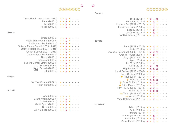|        |                                                                                                                                 | 0000000                                                                                                                                       |                                                                                                | 0@0@0@0                                                                                                                                                           |
|--------|---------------------------------------------------------------------------------------------------------------------------------|-----------------------------------------------------------------------------------------------------------------------------------------------|------------------------------------------------------------------------------------------------|-------------------------------------------------------------------------------------------------------------------------------------------------------------------|
|        |                                                                                                                                 |                                                                                                                                               | Subaru                                                                                         |                                                                                                                                                                   |
| Skoda  | Leon Hatchback (2005 - 2012) • • $\times$ • - - -                                                                               | Leon (2013 >) $\cdot \cdot \cdot$ x $\cdot$ - - -<br>Mii (2011 >) • • $\times$ • – – –<br>Toledo (2013 >) $\cdot \cdot \cdot$ x $\cdot$ - - - | Impreza 5dr (2007 - 2012) • • $\times$ • - - -<br>Impreza 5 Door (2013 >) • • $\times$ • - - - | BRZ (2012 >) • $x - x -$<br>Forester (2013 >) • • $\times$ • - - -<br>Legacy (2012 >) $\cdot \cdot \cdot$ x $\cdot$ - - -<br>Outback (2012 >) • • $x \cdot -$ - - |
|        |                                                                                                                                 |                                                                                                                                               | XV Hatchback (2011 >) $\cdot \cdot \cdot$ x $\cdot$ - -                                        |                                                                                                                                                                   |
|        | Fabia Estate Combi (2008 >) $\cdot \cdot \cdot$ x $\cdot$ - - -<br>Fabia Hatchback (2007 >) $\cdot \cdot \cdot$ x $\cdot$ - - - | Citigo (2012 >) $\bullet \bullet x \bullet - -$                                                                                               | Toyota                                                                                         |                                                                                                                                                                   |
|        | Octavia Estate Combi (2005 - 2013) • • x • - - -                                                                                |                                                                                                                                               |                                                                                                | Auris (2007 - 2012) • • x • - - -                                                                                                                                 |
|        | Octavia Hatchback (2004 - 2012) • • $\times$ • - - -                                                                            |                                                                                                                                               |                                                                                                | Auris (2013 >) • • $\times$ • – – –                                                                                                                               |
|        | Octavia Scout (2007 - 2013) • • $x \cdot -$ - -                                                                                 |                                                                                                                                               | Avensis Hatchback (2003 - 2011) • x x x - - -                                                  |                                                                                                                                                                   |
|        | Octavia Hatchback (2013 >) $\cdot \cdot \cdot$ x $\cdot$ - - -                                                                  |                                                                                                                                               | Avensis Tourer (2009 >) $\cdot \cdot \cdot$ x $\cdot$ - - -                                    |                                                                                                                                                                   |
|        | Roomster (2006 >) • • $\times$ • - - -                                                                                          | Rapid (2013 >) • • $\times$ • - - -                                                                                                           |                                                                                                | Aygo (2005 - 2014) $\cdot \cdot$ - $\cdot$ - - -                                                                                                                  |
|        | Superb Combi Estate (2008 >) $\cdot \cdot \cdot$ x $\cdot$ - - -                                                                |                                                                                                                                               |                                                                                                | Aygo $(2014) \cdot \cdot \cdot - \cdot -$<br>EZ MPV (2013 >) $\bullet \bullet x \bullet - -$                                                                      |
|        |                                                                                                                                 | Superb $(2008 >) \cdot \cdot \cdot \times \cdot$ - - -                                                                                        |                                                                                                | GT86 (2012 >) • $x - x -$                                                                                                                                         |
|        |                                                                                                                                 |                                                                                                                                               | Highlander (2013 >) • $\times$ $\times$ $\times$ - - -                                         |                                                                                                                                                                   |
|        | Superb (2015 >) $\cdot \cdot \cdot$ $\cdot$ - - - - - Yeti (2009 >) $\cdot \cdot \cdot$ x $\cdot$ - - - -                       |                                                                                                                                               | Land Cruiser (2003 - 2009) • • $\times$ • - - -                                                |                                                                                                                                                                   |
|        |                                                                                                                                 |                                                                                                                                               | Land Cruiser (2009 >) • • $\times$ • - - -                                                     |                                                                                                                                                                   |
| Smart  |                                                                                                                                 |                                                                                                                                               | $\frac{1}{2}$ Prius (2004 - 2010) • • x • - - -                                                |                                                                                                                                                                   |
|        |                                                                                                                                 |                                                                                                                                               |                                                                                                | 4 Prius (2010 >) • x x x - - -                                                                                                                                    |
|        | For Two Coupe (2007 >) $\bullet$ - - - - - -                                                                                    |                                                                                                                                               | $\frac{1}{2}$ Prius PHEV (2015 >) • x x x - - -                                                |                                                                                                                                                                   |
|        |                                                                                                                                 | FourFour (2015 >) $\bullet \bullet - \bullet -$                                                                                               | $\frac{1}{2}$ Prius Plus + (2012 >) • • x • - - -                                              |                                                                                                                                                                   |
|        |                                                                                                                                 |                                                                                                                                               | Rav 4 MK3 (2006 - 2011) • $\times$ $\times$ $\times$ - - -                                     |                                                                                                                                                                   |
| Suzuki |                                                                                                                                 |                                                                                                                                               |                                                                                                | RAV4 (2013 >) • $\times$ $\times$ $\times$ $\times$ - - -                                                                                                         |
|        |                                                                                                                                 |                                                                                                                                               | SB! Verso (2009 - 2012) $\bullet \bullet \bullet \bullet - -$                                  |                                                                                                                                                                   |
|        |                                                                                                                                 | Alto $(2009) \cdot \cdot \cdot - \cdot -$                                                                                                     |                                                                                                | SB! Verso (2013 >) $\bullet \bullet \bullet \bullet - -$                                                                                                          |
|        | Grand Vitara (2006 >) • • $x \cdot -$ - -                                                                                       |                                                                                                                                               | Yaris Hatchback (2011 >) $\cdot \cdot \cdot$ x $\cdot$ - - -                                   |                                                                                                                                                                   |
|        |                                                                                                                                 | Splash (2008 >) • • $x$ • - - -                                                                                                               |                                                                                                |                                                                                                                                                                   |
|        | Swift Sport (2011 >) $\cdot \cdot \cdot$ $\cdot$ - - -                                                                          |                                                                                                                                               | Vauxhall                                                                                       |                                                                                                                                                                   |
|        |                                                                                                                                 | $SX-4 (2006>)$ $x \cdot - -$                                                                                                                  |                                                                                                | Adam (2013 >) $\cdot \cdot$ $\cdot$ $\cdot$ $\cdot$ $\cdot$ $\cdot$ $\cdot$                                                                                       |
|        | SX-4 Saloon (2009 >) • • $x$ • - - -                                                                                            |                                                                                                                                               |                                                                                                | Agila (2008 >) $\cdot \cdot \cdot$ x $\cdot$ - - -                                                                                                                |
|        |                                                                                                                                 |                                                                                                                                               |                                                                                                | Ampera (2011) $\bullet \bullet - \bullet -$                                                                                                                       |
|        |                                                                                                                                 |                                                                                                                                               | Antara (2007 - 2015) • • $\times$ • - - -                                                      |                                                                                                                                                                   |
|        |                                                                                                                                 |                                                                                                                                               |                                                                                                | Astra 5dr (2010 >) $\bullet \bullet \times \bullet$ - - -                                                                                                         |
|        |                                                                                                                                 |                                                                                                                                               | Astra Estate (2010 >) $x \cdot x \cdot -$                                                      |                                                                                                                                                                   |

 $\bigcirc$  $\overline{O}$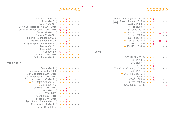## 1)(2)(3)(4)(5)(6)(7



Volvo

 $\circ$ 

| V40 (2012)    |                      |                                        |                                                                                                                                                                                                                                                                                                                                                                                                                                                                                                                                             |
|---------------|----------------------|----------------------------------------|---------------------------------------------------------------------------------------------------------------------------------------------------------------------------------------------------------------------------------------------------------------------------------------------------------------------------------------------------------------------------------------------------------------------------------------------------------------------------------------------------------------------------------------------|
|               |                      |                                        |                                                                                                                                                                                                                                                                                                                                                                                                                                                                                                                                             |
|               |                      |                                        |                                                                                                                                                                                                                                                                                                                                                                                                                                                                                                                                             |
|               |                      |                                        |                                                                                                                                                                                                                                                                                                                                                                                                                                                                                                                                             |
|               |                      |                                        |                                                                                                                                                                                                                                                                                                                                                                                                                                                                                                                                             |
|               |                      |                                        |                                                                                                                                                                                                                                                                                                                                                                                                                                                                                                                                             |
| XC70 (2008 >) |                      |                                        |                                                                                                                                                                                                                                                                                                                                                                                                                                                                                                                                             |
|               |                      |                                        |                                                                                                                                                                                                                                                                                                                                                                                                                                                                                                                                             |
|               | $C30(2007 - 2013)$ . | $\bullet$ $\bullet$ $\times$ $\bullet$ | $S60 (2010>)$ $\bullet$ $\bullet$ $X$ $\bullet$ - - -<br>S80 (2007 >) • • $\times$ • – – –<br>$\sim$ $ \sim$ $ -$<br>$\bullet$ $\bullet$ $\times$ $\bullet$ $\circ$ $\circ$ $\circ$<br>$V60 (2011 >) \cdot \cdot \cdot \cdot \cdot$<br>$\bullet$ $\bullet$ $\times$ $\bullet$ $\circ$ $\circ$ $\circ$<br>$V70 (2008 >) \cdot \cdot \cdot \times \cdot$ - - -<br>$XCGO (2008 >) \cdot \cdot \cdot \times \cdot$ - - -<br>$\bullet\quad\bullet\quad\mathbf{X}\quad\bullet\quad\text{---}\quad\text{---}$<br>$\bullet \bullet x \bullet x - x$ |

#### $\circ$ 1)(2)(3)(4)(5)(6)(7

|   |   | ×                        | ٠         | $\overline{a}$                                                                                                                                                           |                                                          |                                                                                                              |                                                                                                                                                                                                                                                                                                                                                                                                                                                                                                                                                                                                                                                                                                                                                                                                                                                                                                                                                                                                                                                                                                                                                                                                                                                                                                                                                                                                                                                                                                                                                                                                                                                                                                                                                                                                                                                                                                                                                                                                                                                                                                                                                                                                                                                                                                                                                                                                                                                                                                                                                                                                                                                                                                                                                                                            |
|---|---|--------------------------|-----------|--------------------------------------------------------------------------------------------------------------------------------------------------------------------------|----------------------------------------------------------|--------------------------------------------------------------------------------------------------------------|--------------------------------------------------------------------------------------------------------------------------------------------------------------------------------------------------------------------------------------------------------------------------------------------------------------------------------------------------------------------------------------------------------------------------------------------------------------------------------------------------------------------------------------------------------------------------------------------------------------------------------------------------------------------------------------------------------------------------------------------------------------------------------------------------------------------------------------------------------------------------------------------------------------------------------------------------------------------------------------------------------------------------------------------------------------------------------------------------------------------------------------------------------------------------------------------------------------------------------------------------------------------------------------------------------------------------------------------------------------------------------------------------------------------------------------------------------------------------------------------------------------------------------------------------------------------------------------------------------------------------------------------------------------------------------------------------------------------------------------------------------------------------------------------------------------------------------------------------------------------------------------------------------------------------------------------------------------------------------------------------------------------------------------------------------------------------------------------------------------------------------------------------------------------------------------------------------------------------------------------------------------------------------------------------------------------------------------------------------------------------------------------------------------------------------------------------------------------------------------------------------------------------------------------------------------------------------------------------------------------------------------------------------------------------------------------------------------------------------------------------------------------------------------------|
| ۰ | ٠ |                          |           |                                                                                                                                                                          |                                                          |                                                                                                              |                                                                                                                                                                                                                                                                                                                                                                                                                                                                                                                                                                                                                                                                                                                                                                                                                                                                                                                                                                                                                                                                                                                                                                                                                                                                                                                                                                                                                                                                                                                                                                                                                                                                                                                                                                                                                                                                                                                                                                                                                                                                                                                                                                                                                                                                                                                                                                                                                                                                                                                                                                                                                                                                                                                                                                                            |
| ۰ | ۰ |                          |           |                                                                                                                                                                          |                                                          |                                                                                                              |                                                                                                                                                                                                                                                                                                                                                                                                                                                                                                                                                                                                                                                                                                                                                                                                                                                                                                                                                                                                                                                                                                                                                                                                                                                                                                                                                                                                                                                                                                                                                                                                                                                                                                                                                                                                                                                                                                                                                                                                                                                                                                                                                                                                                                                                                                                                                                                                                                                                                                                                                                                                                                                                                                                                                                                            |
| × | ۰ | ×.                       |           |                                                                                                                                                                          |                                                          |                                                                                                              |                                                                                                                                                                                                                                                                                                                                                                                                                                                                                                                                                                                                                                                                                                                                                                                                                                                                                                                                                                                                                                                                                                                                                                                                                                                                                                                                                                                                                                                                                                                                                                                                                                                                                                                                                                                                                                                                                                                                                                                                                                                                                                                                                                                                                                                                                                                                                                                                                                                                                                                                                                                                                                                                                                                                                                                            |
| × | ٠ | ×                        | $\bullet$ |                                                                                                                                                                          |                                                          |                                                                                                              |                                                                                                                                                                                                                                                                                                                                                                                                                                                                                                                                                                                                                                                                                                                                                                                                                                                                                                                                                                                                                                                                                                                                                                                                                                                                                                                                                                                                                                                                                                                                                                                                                                                                                                                                                                                                                                                                                                                                                                                                                                                                                                                                                                                                                                                                                                                                                                                                                                                                                                                                                                                                                                                                                                                                                                                            |
| ٠ | ٠ |                          |           |                                                                                                                                                                          |                                                          |                                                                                                              |                                                                                                                                                                                                                                                                                                                                                                                                                                                                                                                                                                                                                                                                                                                                                                                                                                                                                                                                                                                                                                                                                                                                                                                                                                                                                                                                                                                                                                                                                                                                                                                                                                                                                                                                                                                                                                                                                                                                                                                                                                                                                                                                                                                                                                                                                                                                                                                                                                                                                                                                                                                                                                                                                                                                                                                            |
| ۰ | ۰ | X.                       | $\bullet$ | $\overline{\phantom{a}}$                                                                                                                                                 |                                                          |                                                                                                              |                                                                                                                                                                                                                                                                                                                                                                                                                                                                                                                                                                                                                                                                                                                                                                                                                                                                                                                                                                                                                                                                                                                                                                                                                                                                                                                                                                                                                                                                                                                                                                                                                                                                                                                                                                                                                                                                                                                                                                                                                                                                                                                                                                                                                                                                                                                                                                                                                                                                                                                                                                                                                                                                                                                                                                                            |
| ۰ |   | ×                        | $\bullet$ | $\overline{\phantom{0}}$                                                                                                                                                 |                                                          |                                                                                                              |                                                                                                                                                                                                                                                                                                                                                                                                                                                                                                                                                                                                                                                                                                                                                                                                                                                                                                                                                                                                                                                                                                                                                                                                                                                                                                                                                                                                                                                                                                                                                                                                                                                                                                                                                                                                                                                                                                                                                                                                                                                                                                                                                                                                                                                                                                                                                                                                                                                                                                                                                                                                                                                                                                                                                                                            |
| ۰ | ۰ |                          |           | $\overline{\phantom{a}}$                                                                                                                                                 |                                                          |                                                                                                              |                                                                                                                                                                                                                                                                                                                                                                                                                                                                                                                                                                                                                                                                                                                                                                                                                                                                                                                                                                                                                                                                                                                                                                                                                                                                                                                                                                                                                                                                                                                                                                                                                                                                                                                                                                                                                                                                                                                                                                                                                                                                                                                                                                                                                                                                                                                                                                                                                                                                                                                                                                                                                                                                                                                                                                                            |
| ٠ | ٠ |                          |           |                                                                                                                                                                          |                                                          |                                                                                                              |                                                                                                                                                                                                                                                                                                                                                                                                                                                                                                                                                                                                                                                                                                                                                                                                                                                                                                                                                                                                                                                                                                                                                                                                                                                                                                                                                                                                                                                                                                                                                                                                                                                                                                                                                                                                                                                                                                                                                                                                                                                                                                                                                                                                                                                                                                                                                                                                                                                                                                                                                                                                                                                                                                                                                                                            |
| ٠ | ٠ |                          |           |                                                                                                                                                                          |                                                          |                                                                                                              |                                                                                                                                                                                                                                                                                                                                                                                                                                                                                                                                                                                                                                                                                                                                                                                                                                                                                                                                                                                                                                                                                                                                                                                                                                                                                                                                                                                                                                                                                                                                                                                                                                                                                                                                                                                                                                                                                                                                                                                                                                                                                                                                                                                                                                                                                                                                                                                                                                                                                                                                                                                                                                                                                                                                                                                            |
| ۰ | ۰ |                          |           |                                                                                                                                                                          |                                                          |                                                                                                              |                                                                                                                                                                                                                                                                                                                                                                                                                                                                                                                                                                                                                                                                                                                                                                                                                                                                                                                                                                                                                                                                                                                                                                                                                                                                                                                                                                                                                                                                                                                                                                                                                                                                                                                                                                                                                                                                                                                                                                                                                                                                                                                                                                                                                                                                                                                                                                                                                                                                                                                                                                                                                                                                                                                                                                                            |
| × |   |                          |           |                                                                                                                                                                          |                                                          |                                                                                                              |                                                                                                                                                                                                                                                                                                                                                                                                                                                                                                                                                                                                                                                                                                                                                                                                                                                                                                                                                                                                                                                                                                                                                                                                                                                                                                                                                                                                                                                                                                                                                                                                                                                                                                                                                                                                                                                                                                                                                                                                                                                                                                                                                                                                                                                                                                                                                                                                                                                                                                                                                                                                                                                                                                                                                                                            |
| ٠ | ٠ |                          |           |                                                                                                                                                                          |                                                          |                                                                                                              |                                                                                                                                                                                                                                                                                                                                                                                                                                                                                                                                                                                                                                                                                                                                                                                                                                                                                                                                                                                                                                                                                                                                                                                                                                                                                                                                                                                                                                                                                                                                                                                                                                                                                                                                                                                                                                                                                                                                                                                                                                                                                                                                                                                                                                                                                                                                                                                                                                                                                                                                                                                                                                                                                                                                                                                            |
| ٠ |   |                          |           | ٠                                                                                                                                                                        |                                                          |                                                                                                              |                                                                                                                                                                                                                                                                                                                                                                                                                                                                                                                                                                                                                                                                                                                                                                                                                                                                                                                                                                                                                                                                                                                                                                                                                                                                                                                                                                                                                                                                                                                                                                                                                                                                                                                                                                                                                                                                                                                                                                                                                                                                                                                                                                                                                                                                                                                                                                                                                                                                                                                                                                                                                                                                                                                                                                                            |
|   |   |                          |           |                                                                                                                                                                          |                                                          |                                                                                                              |                                                                                                                                                                                                                                                                                                                                                                                                                                                                                                                                                                                                                                                                                                                                                                                                                                                                                                                                                                                                                                                                                                                                                                                                                                                                                                                                                                                                                                                                                                                                                                                                                                                                                                                                                                                                                                                                                                                                                                                                                                                                                                                                                                                                                                                                                                                                                                                                                                                                                                                                                                                                                                                                                                                                                                                            |
|   |   |                          |           |                                                                                                                                                                          |                                                          |                                                                                                              |                                                                                                                                                                                                                                                                                                                                                                                                                                                                                                                                                                                                                                                                                                                                                                                                                                                                                                                                                                                                                                                                                                                                                                                                                                                                                                                                                                                                                                                                                                                                                                                                                                                                                                                                                                                                                                                                                                                                                                                                                                                                                                                                                                                                                                                                                                                                                                                                                                                                                                                                                                                                                                                                                                                                                                                            |
|   |   |                          |           |                                                                                                                                                                          |                                                          |                                                                                                              |                                                                                                                                                                                                                                                                                                                                                                                                                                                                                                                                                                                                                                                                                                                                                                                                                                                                                                                                                                                                                                                                                                                                                                                                                                                                                                                                                                                                                                                                                                                                                                                                                                                                                                                                                                                                                                                                                                                                                                                                                                                                                                                                                                                                                                                                                                                                                                                                                                                                                                                                                                                                                                                                                                                                                                                            |
|   |   |                          |           |                                                                                                                                                                          |                                                          |                                                                                                              |                                                                                                                                                                                                                                                                                                                                                                                                                                                                                                                                                                                                                                                                                                                                                                                                                                                                                                                                                                                                                                                                                                                                                                                                                                                                                                                                                                                                                                                                                                                                                                                                                                                                                                                                                                                                                                                                                                                                                                                                                                                                                                                                                                                                                                                                                                                                                                                                                                                                                                                                                                                                                                                                                                                                                                                            |
|   |   |                          |           |                                                                                                                                                                          |                                                          |                                                                                                              |                                                                                                                                                                                                                                                                                                                                                                                                                                                                                                                                                                                                                                                                                                                                                                                                                                                                                                                                                                                                                                                                                                                                                                                                                                                                                                                                                                                                                                                                                                                                                                                                                                                                                                                                                                                                                                                                                                                                                                                                                                                                                                                                                                                                                                                                                                                                                                                                                                                                                                                                                                                                                                                                                                                                                                                            |
|   |   |                          | ٠         |                                                                                                                                                                          |                                                          |                                                                                                              |                                                                                                                                                                                                                                                                                                                                                                                                                                                                                                                                                                                                                                                                                                                                                                                                                                                                                                                                                                                                                                                                                                                                                                                                                                                                                                                                                                                                                                                                                                                                                                                                                                                                                                                                                                                                                                                                                                                                                                                                                                                                                                                                                                                                                                                                                                                                                                                                                                                                                                                                                                                                                                                                                                                                                                                            |
| ۰ | ٠ |                          |           |                                                                                                                                                                          |                                                          |                                                                                                              |                                                                                                                                                                                                                                                                                                                                                                                                                                                                                                                                                                                                                                                                                                                                                                                                                                                                                                                                                                                                                                                                                                                                                                                                                                                                                                                                                                                                                                                                                                                                                                                                                                                                                                                                                                                                                                                                                                                                                                                                                                                                                                                                                                                                                                                                                                                                                                                                                                                                                                                                                                                                                                                                                                                                                                                            |
| ۰ |   |                          |           |                                                                                                                                                                          |                                                          |                                                                                                              |                                                                                                                                                                                                                                                                                                                                                                                                                                                                                                                                                                                                                                                                                                                                                                                                                                                                                                                                                                                                                                                                                                                                                                                                                                                                                                                                                                                                                                                                                                                                                                                                                                                                                                                                                                                                                                                                                                                                                                                                                                                                                                                                                                                                                                                                                                                                                                                                                                                                                                                                                                                                                                                                                                                                                                                            |
| ۰ |   |                          |           | $\overline{\phantom{a}}$                                                                                                                                                 |                                                          |                                                                                                              |                                                                                                                                                                                                                                                                                                                                                                                                                                                                                                                                                                                                                                                                                                                                                                                                                                                                                                                                                                                                                                                                                                                                                                                                                                                                                                                                                                                                                                                                                                                                                                                                                                                                                                                                                                                                                                                                                                                                                                                                                                                                                                                                                                                                                                                                                                                                                                                                                                                                                                                                                                                                                                                                                                                                                                                            |
|   | ۰ |                          |           | $\overline{\phantom{a}}$                                                                                                                                                 |                                                          |                                                                                                              |                                                                                                                                                                                                                                                                                                                                                                                                                                                                                                                                                                                                                                                                                                                                                                                                                                                                                                                                                                                                                                                                                                                                                                                                                                                                                                                                                                                                                                                                                                                                                                                                                                                                                                                                                                                                                                                                                                                                                                                                                                                                                                                                                                                                                                                                                                                                                                                                                                                                                                                                                                                                                                                                                                                                                                                            |
| ۰ | ٠ | ×                        | ٠         | $\overline{\phantom{0}}$                                                                                                                                                 |                                                          |                                                                                                              |                                                                                                                                                                                                                                                                                                                                                                                                                                                                                                                                                                                                                                                                                                                                                                                                                                                                                                                                                                                                                                                                                                                                                                                                                                                                                                                                                                                                                                                                                                                                                                                                                                                                                                                                                                                                                                                                                                                                                                                                                                                                                                                                                                                                                                                                                                                                                                                                                                                                                                                                                                                                                                                                                                                                                                                            |
| ۰ |   |                          |           | $\overline{\phantom{0}}$                                                                                                                                                 |                                                          |                                                                                                              |                                                                                                                                                                                                                                                                                                                                                                                                                                                                                                                                                                                                                                                                                                                                                                                                                                                                                                                                                                                                                                                                                                                                                                                                                                                                                                                                                                                                                                                                                                                                                                                                                                                                                                                                                                                                                                                                                                                                                                                                                                                                                                                                                                                                                                                                                                                                                                                                                                                                                                                                                                                                                                                                                                                                                                                            |
| ٠ | ٠ | $\overline{\phantom{a}}$ |           |                                                                                                                                                                          |                                                          |                                                                                                              |                                                                                                                                                                                                                                                                                                                                                                                                                                                                                                                                                                                                                                                                                                                                                                                                                                                                                                                                                                                                                                                                                                                                                                                                                                                                                                                                                                                                                                                                                                                                                                                                                                                                                                                                                                                                                                                                                                                                                                                                                                                                                                                                                                                                                                                                                                                                                                                                                                                                                                                                                                                                                                                                                                                                                                                            |
| ۰ | ۰ | ×                        | $\bullet$ |                                                                                                                                                                          |                                                          |                                                                                                              |                                                                                                                                                                                                                                                                                                                                                                                                                                                                                                                                                                                                                                                                                                                                                                                                                                                                                                                                                                                                                                                                                                                                                                                                                                                                                                                                                                                                                                                                                                                                                                                                                                                                                                                                                                                                                                                                                                                                                                                                                                                                                                                                                                                                                                                                                                                                                                                                                                                                                                                                                                                                                                                                                                                                                                                            |
| ۰ | ٠ |                          |           |                                                                                                                                                                          |                                                          |                                                                                                              |                                                                                                                                                                                                                                                                                                                                                                                                                                                                                                                                                                                                                                                                                                                                                                                                                                                                                                                                                                                                                                                                                                                                                                                                                                                                                                                                                                                                                                                                                                                                                                                                                                                                                                                                                                                                                                                                                                                                                                                                                                                                                                                                                                                                                                                                                                                                                                                                                                                                                                                                                                                                                                                                                                                                                                                            |
| ö |   |                          |           |                                                                                                                                                                          |                                                          |                                                                                                              |                                                                                                                                                                                                                                                                                                                                                                                                                                                                                                                                                                                                                                                                                                                                                                                                                                                                                                                                                                                                                                                                                                                                                                                                                                                                                                                                                                                                                                                                                                                                                                                                                                                                                                                                                                                                                                                                                                                                                                                                                                                                                                                                                                                                                                                                                                                                                                                                                                                                                                                                                                                                                                                                                                                                                                                            |
| ö |   |                          |           |                                                                                                                                                                          |                                                          |                                                                                                              |                                                                                                                                                                                                                                                                                                                                                                                                                                                                                                                                                                                                                                                                                                                                                                                                                                                                                                                                                                                                                                                                                                                                                                                                                                                                                                                                                                                                                                                                                                                                                                                                                                                                                                                                                                                                                                                                                                                                                                                                                                                                                                                                                                                                                                                                                                                                                                                                                                                                                                                                                                                                                                                                                                                                                                                            |
|   |   |                          |           |                                                                                                                                                                          |                                                          |                                                                                                              |                                                                                                                                                                                                                                                                                                                                                                                                                                                                                                                                                                                                                                                                                                                                                                                                                                                                                                                                                                                                                                                                                                                                                                                                                                                                                                                                                                                                                                                                                                                                                                                                                                                                                                                                                                                                                                                                                                                                                                                                                                                                                                                                                                                                                                                                                                                                                                                                                                                                                                                                                                                                                                                                                                                                                                                            |
|   | ۰ |                          | ×<br>×.   | $x -$<br>$x -$<br>$x -$<br>$x \cdot$<br>x.<br>$\bullet$<br>X.<br>$\bullet$<br>$\times$ $\cdot$<br>$\bullet$<br>X.<br>$\times$ $\cdot$<br>$x -$<br>۰<br>$\mathsf{x}$<br>٠ | $\bullet$<br>$x \cdot$<br>$\overline{\phantom{a}}$<br>X. | $\overline{\phantom{a}}$<br>$\frac{1}{2}$<br>$\overline{\phantom{a}}$<br>$\bullet \quad \cdots \quad \cdots$ | $x \cdot - -$<br>$X - 1 - 1$<br>$\frac{1}{2} \left( \frac{1}{2} \right) = \frac{1}{2} \left( \frac{1}{2} \right) = \frac{1}{2} \left( \frac{1}{2} \right) = \frac{1}{2} \left( \frac{1}{2} \right) = \frac{1}{2} \left( \frac{1}{2} \right) = \frac{1}{2} \left( \frac{1}{2} \right) = \frac{1}{2} \left( \frac{1}{2} \right) = \frac{1}{2} \left( \frac{1}{2} \right) = \frac{1}{2} \left( \frac{1}{2} \right) = \frac{1}{2} \left( \frac{1}{2} \right) = \frac{1}{2} \left($<br>$\qquad \qquad - \qquad -$<br>$\frac{1}{2} \left( \frac{1}{2} \right) = \frac{1}{2} \left( \frac{1}{2} \right) = \frac{1}{2} \left( \frac{1}{2} \right) = \frac{1}{2} \left( \frac{1}{2} \right) = \frac{1}{2} \left( \frac{1}{2} \right) = \frac{1}{2} \left( \frac{1}{2} \right) = \frac{1}{2} \left( \frac{1}{2} \right) = \frac{1}{2} \left( \frac{1}{2} \right) = \frac{1}{2} \left( \frac{1}{2} \right) = \frac{1}{2} \left( \frac{1}{2} \right) = \frac{1}{2} \left($<br>$ -$<br>$\qquad \qquad -$<br>$\qquad \qquad - \qquad -$<br>$\frac{1}{2} \left( \frac{1}{2} \right) = \frac{1}{2} \left( \frac{1}{2} \right) = \frac{1}{2} \left( \frac{1}{2} \right) = \frac{1}{2} \left( \frac{1}{2} \right) = \frac{1}{2} \left( \frac{1}{2} \right) = \frac{1}{2} \left( \frac{1}{2} \right) = \frac{1}{2} \left( \frac{1}{2} \right) = \frac{1}{2} \left( \frac{1}{2} \right) = \frac{1}{2} \left( \frac{1}{2} \right) = \frac{1}{2} \left( \frac{1}{2} \right) = \frac{1}{2} \left($<br>$\qquad \qquad -$<br>$\bullet$ $X$ $\bullet$ $ -$<br>$\bullet\quad\bullet\quad\bullet\quad\bullet\quad\bullet\quad\bullet$<br>$\qquad \qquad -$<br>$\qquad \qquad -$<br>$\qquad \qquad -$<br>$\frac{1}{2} \left( \frac{1}{2} \right) = \frac{1}{2} \left( \frac{1}{2} \right) = \frac{1}{2} \left( \frac{1}{2} \right) = \frac{1}{2} \left( \frac{1}{2} \right) = \frac{1}{2} \left( \frac{1}{2} \right) = \frac{1}{2} \left( \frac{1}{2} \right) = \frac{1}{2} \left( \frac{1}{2} \right) = \frac{1}{2} \left( \frac{1}{2} \right) = \frac{1}{2} \left( \frac{1}{2} \right) = \frac{1}{2} \left( \frac{1}{2} \right) = \frac{1}{2} \left($<br>$\frac{1}{2} \left( \frac{1}{2} \right) \left( \frac{1}{2} \right) \left( \frac{1}{2} \right) \left( \frac{1}{2} \right) \left( \frac{1}{2} \right) \left( \frac{1}{2} \right) \left( \frac{1}{2} \right) \left( \frac{1}{2} \right) \left( \frac{1}{2} \right) \left( \frac{1}{2} \right) \left( \frac{1}{2} \right) \left( \frac{1}{2} \right) \left( \frac{1}{2} \right) \left( \frac{1}{2} \right) \left( \frac{1}{2} \right) \left( \frac{1}{2} \right) \left( \frac$<br>$\frac{1}{2} \left( \frac{1}{2} \right) \left( \frac{1}{2} \right) \left( \frac{1}{2} \right) \left( \frac{1}{2} \right) \left( \frac{1}{2} \right)$<br>- - -<br>$x \cdot - -$ |

#### Volkswagen

| Beetle (2012 >)              |                         |                                        |   |                                                                                   |  |
|------------------------------|-------------------------|----------------------------------------|---|-----------------------------------------------------------------------------------|--|
| Multivan Caravelle (2008)    |                         |                                        |   |                                                                                   |  |
| Golf Cabriolet (2009 - 2012) |                         |                                        |   | $  -$                                                                             |  |
| Golf Hatchback (2009 - 2012) |                         | $\bullet$ X                            |   | $\sim$ 100 $\sim$ 100                                                             |  |
| Golf Hatchback MK7 (2012 >)  |                         | $\bullet \bullet \times \bullet$       |   | $\sim$ $  -$                                                                      |  |
| Golf MK7 GTE (2014 $>$ )     |                         | $\bullet \bullet \times \bullet$       |   | $\sim$ $  -$                                                                      |  |
| Golf E (2014 >)              |                         | $\bullet$ $\bullet$ $\times$ $\bullet$ |   | $\sim$ $  -$                                                                      |  |
| Golf Plus (2009 - 2011)      |                         | $\bullet$ $\bullet$ $\times$ $\bullet$ |   | $\sim$ $ \sim$ $ \sim$                                                            |  |
| Jetta $(2011)$               |                         | $\cdot$ x x x                          |   | $\frac{1}{2} \left( \frac{1}{2} \right) = \frac{1}{2} \left( \frac{1}{2} \right)$ |  |
| Lupo (1999 - 2005)           |                         |                                        | . |                                                                                   |  |
| Passat (2005 - 2010)         |                         | ×.                                     |   | $\sim$ 100 $\sim$ 100 $\sim$                                                      |  |
| Passat (2010 - 2015)         |                         | $\bullet$ $\bullet$ $\times$           |   | $\sim$ $  -$                                                                      |  |
| Passat Saloon (2015 >)       | $\bullet$ . $\bullet$ . | $X -$                                  |   | $\sim$ $  -$                                                                      |  |
| Passat Alltrack (2012 >)     |                         | $\bullet$ $\bullet$ $\times$ $\bullet$ |   | $\sim$ $  -$                                                                      |  |
| Passat CC (2008 >)           |                         | ×                                      |   | $\sim$ 100 $\sim$                                                                 |  |
|                              |                         |                                        |   |                                                                                   |  |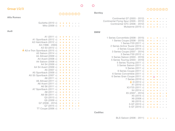| Group $1/2/3$                                                                   |                                                                                                                                     |                                                                        | ののののののの                                                                                     |
|---------------------------------------------------------------------------------|-------------------------------------------------------------------------------------------------------------------------------------|------------------------------------------------------------------------|---------------------------------------------------------------------------------------------|
|                                                                                 | 0000000                                                                                                                             | Bentley                                                                |                                                                                             |
| Alfa Romeo                                                                      |                                                                                                                                     |                                                                        |                                                                                             |
|                                                                                 |                                                                                                                                     | Continental GT (2003 - 2012) $\cdot \cdot \cdot$ - $\cdot$ - - -       |                                                                                             |
|                                                                                 | Guilietta (2010 >) $\cdot \cdot \cdot \cdot$ - - - -                                                                                | Continental Flying Spur (2005 - 2012) $\cdot \cdot \cdot \cdot$ - - -  |                                                                                             |
|                                                                                 | Mito (2009 >) $\bullet \bullet - \bullet -$                                                                                         | Continental GTC (2006 - 2012) $\cdot \cdot \cdot$ - $\cdot$ - - -      |                                                                                             |
|                                                                                 |                                                                                                                                     |                                                                        | Mulsanne (2010 >) $\bullet \bullet \bullet \bullet - -$                                     |
| Audi                                                                            |                                                                                                                                     | <b>BMW</b>                                                             |                                                                                             |
|                                                                                 |                                                                                                                                     |                                                                        |                                                                                             |
|                                                                                 | A1 $(2011 >) \cdot \cdot \cdot \cdot \cdot$                                                                                         | 1 Series Convertible (2008 - 2015) • • - • - - -                       |                                                                                             |
| A1 Sportback (2012 >) $\cdot \cdot \cdot \cdot$ - - -                           |                                                                                                                                     | 1 Series Coupe (2008 - 2015) ••• -• - -                                |                                                                                             |
| A3 Hatchback (2012 >) $\cdot \cdot \cdot \cdot$ - - -                           |                                                                                                                                     | 1 Series F20 (2011 >) $\cdot \cdot \cdot \cdot$ - - -                  |                                                                                             |
|                                                                                 | $A3(1996 - 2003) \cdot \cdot \cdot \cdot \cdot$                                                                                     | 2 Series Active Tourer (2015 >) $\cdot \cdot \cdot \cdot$ - - -        |                                                                                             |
|                                                                                 | A3 S3 (2012 >) $\bullet \bullet \bullet \bullet \bullet \bullet$                                                                    | 2 Series Coupe (2014 >) ••• -• - -                                     |                                                                                             |
| $\bigtriangledown$ A3 e-Tron Sportback (2015 >) $\cdot \cdot \cdot \cdot$ - - - |                                                                                                                                     | 3 Series Coupe (2007 - 2014) ••• -• - -                                |                                                                                             |
| A3 Saloon (2014 >) • • • • - - -                                                |                                                                                                                                     | 3 Series F30 (2012 >) ••••• - - -                                      |                                                                                             |
| A4 Allroad (2009 >) $\bullet \bullet \bullet \bullet - -$                       |                                                                                                                                     | 5 Series Saloon (2003 - 2010) ••••• - - -                              |                                                                                             |
|                                                                                 | A4 Avant (2008 >) $\bullet \bullet \bullet \bullet - -$                                                                             | 5 Series Touring (2003 - 2010) ••••• - - -                             |                                                                                             |
| A4 Saloon (2008 >) • • • • - - -                                                |                                                                                                                                     | 5 Series Touring $(2011)$ $\cdot\cdot\cdot$ $\cdot\cdot$ $\cdot$ - - - |                                                                                             |
|                                                                                 | $A4 S4 (2009 >) \cdot \cdot \cdot \cdot \cdot$                                                                                      | 5 Series Saloon (2011 >) •••••–––                                      |                                                                                             |
| A4 S4 Avant (2009 >) • • • • - - -                                              |                                                                                                                                     |                                                                        | 5 Series (2011 >) $\bullet \bullet \bullet \bullet \bullet \bullet$                         |
|                                                                                 | $AS (2007>)$                                                                                                                        | 6 Series Coupe (2011 >) ••• -• - -                                     |                                                                                             |
| A5 Sportback (2009 >) $\bullet \bullet \bullet \bullet - -$                     |                                                                                                                                     | 6 Series Convertible (2011 >) $\cdot \cdot \cdot$ - $\cdot$ - - -      |                                                                                             |
| A5 S5 Sportback (2007 >) $\cdot \cdot \cdot$ $\cdot$ - - -                      |                                                                                                                                     | 6 Series Gran Coupe (2011 >) $\cdot \cdot \cdot$ $\cdot$ - - -         |                                                                                             |
|                                                                                 | $\overline{AB}$ (2011 >) $\bullet \bullet \bullet \bullet \bullet \bullet$                                                          |                                                                        | 7 Series (2010 >) $\bullet \bullet \bullet \bullet - -$                                     |
| A6 Allroad (2011 >) $\cdot \cdot \cdot \cdot$ - - -                             |                                                                                                                                     |                                                                        | $\frac{1}{2}$ i3 (2014 >) $\cdot \cdot \cdot \cdot$ $\cdot$ $\cdot$ $\cdot$ $\cdot$ $\cdot$ |
|                                                                                 | A6 Avant (2011 >) $\bullet \bullet \bullet \bullet - -$                                                                             |                                                                        | $X1 (2010) \cdot \cdot \cdot \cdot \cdot \cdot$                                             |
|                                                                                 | A6 S6 (2011 >) $\cdot \cdot \cdot \cdot$ - - -                                                                                      |                                                                        | $X3 F25 (2011 >) \cdot \cdot \cdot \cdot \cdot$                                             |
| A7 Sportback (2011 >) $\cdot \cdot \cdot \cdot$ - - -                           | $AB (2011 >) \cdot \cdot \cdot \cdot \cdot$ - - -                                                                                   |                                                                        | $X4(2014>)$                                                                                 |
|                                                                                 | A8 S8 (2011 >) $\cdot \cdot \cdot \cdot$ - - -                                                                                      |                                                                        | $X5(2007 - 2014)$                                                                           |
|                                                                                 |                                                                                                                                     |                                                                        | $X5 (2015) \cdot \cdot \cdot \cdot \cdot \cdot$                                             |
|                                                                                 | $Q3 (2013>)$ $\bullet$ $\bullet$ $\bullet$ $\bullet$ $\bullet$ $\cdot$ $\cdot$<br>$Q5 (2009 >) \cdot \cdot \cdot \cdot \cdot$ - - - |                                                                        | $X6(2008>)$ $\bullet \bullet \bullet \bullet \bullet - -$                                   |
|                                                                                 | $Q7(2006 - 2014) \cdot \cdot \cdot \cdot \cdot \cdot$                                                                               |                                                                        | $X6(2015) \cdot \cdot \cdot - \cdot -$                                                      |
|                                                                                 | $Q7 (2015) \cdot \cdot \cdot \cdot \cdot \cdot$                                                                                     |                                                                        | $3-GT (2013>)$ $\bullet \bullet \bullet \bullet \bullet - -$                                |
| TT Coupe (2006 >) $\bullet \bullet - \bullet -$                                 |                                                                                                                                     |                                                                        | $5-GT (2010 >)$ $\bullet \bullet \bullet \bullet \bullet - -$                               |
|                                                                                 |                                                                                                                                     |                                                                        |                                                                                             |
|                                                                                 |                                                                                                                                     | Cadillac                                                               |                                                                                             |
|                                                                                 |                                                                                                                                     | BLS Saloon (2006 - 2011)                                               |                                                                                             |
|                                                                                 |                                                                                                                                     |                                                                        |                                                                                             |

 $\bigcirc$ 

 $\circ$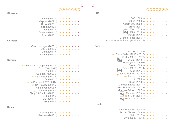

Duster  $(2012 >) \cdot \cdot \cdot \cdot \cdot$ Sandero (2013 >)  $\cdot \cdot \cdot \cdot$  - - -

Civic  $(2012 >)$  . . . . . . Civic (2006 - 2011)  $\cdot \cdot \cdot \cdot$   $\cdot$   $\cdot$   $\cdot$   $\cdot$   $\cdot$   $\cdot$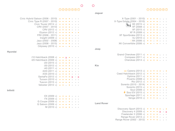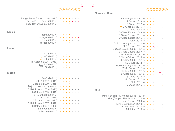|                                                                                            |         |  |  |  | ◯                                                                    |        |  |  |
|--------------------------------------------------------------------------------------------|---------|--|--|--|----------------------------------------------------------------------|--------|--|--|
|                                                                                            | ののののののの |  |  |  |                                                                      | ⊕©®®®® |  |  |
|                                                                                            |         |  |  |  | Mercedes-Benz                                                        |        |  |  |
| $2012$ $\bullet$ $\bullet$ $\bullet$ $\bullet$ $\bullet$ $\circ$ $\circ$                   |         |  |  |  | A Class (2005 - 2012) _                                              |        |  |  |
| 013>) • • • • x - x                                                                        |         |  |  |  | A Class (2013 >) $\bullet \bullet \bullet \bullet \bullet$           |        |  |  |
| $011 > 0$ $\bullet$ $\bullet$ $\bullet$ $\bullet$ $\bullet$                                |         |  |  |  | B Class $(2012) \cdot \cdot \cdot \cdot \cdot$                       |        |  |  |
|                                                                                            |         |  |  |  | $\frac{1}{2}$ B Class EV (2015 >) $\cdot \cdot \cdot \cdot$          |        |  |  |
|                                                                                            |         |  |  |  | C Class (2008 >) $\bullet \bullet \bullet \bullet$                   |        |  |  |
|                                                                                            |         |  |  |  | C Class Estate $(2008) \cdot \cdot \cdot \cdot$                      |        |  |  |
| 012>) • • • • -                                                                            |         |  |  |  | C Class Coupe $(2011 >) \cdot \cdot \cdot$ - -                       |        |  |  |
| $010 \rightarrow$ $\bullet$ $\bullet$ $\bullet$ $\times$ $\bullet$ $\times$                |         |  |  |  | C Class Estate $(2015) \cdot \cdot \cdot \cdot \cdot$                |        |  |  |
| $011 > 0$ <b>. . . . . .</b>                                                               |         |  |  |  | CLA $(2013) \cdot \cdot \cdot \cdot \cdot$                           |        |  |  |
|                                                                                            |         |  |  |  | CLS Shootingbrake $(2012) \cdot \cdot \cdot \cdot$                   |        |  |  |
|                                                                                            |         |  |  |  | CLS Coupe $(2011 >) \cdot \cdot \cdot \cdot$                         |        |  |  |
|                                                                                            |         |  |  |  | E Class Saloon (2009 - 2012) ••••• -                                 |        |  |  |
|                                                                                            |         |  |  |  | E Class Coupe $(2009) \cdot \cdot \cdot - \cdot$                     |        |  |  |
| 011 > $\cdot \cdot \cdot$ $\cdot$                                                          |         |  |  |  | E Class Estate (2013) $\cdot \cdot \cdot \cdot$ $\cdot$              |        |  |  |
| 013>) • • • • – – –<br>013>) $\bullet \bullet \bullet \bullet \bullet$                     |         |  |  |  | E Class Saloon (2013 >) $\cdot \cdot \cdot$                          |        |  |  |
| $2012$ $\cdot\cdot\cdot$ $\cdot$ $\cdot$ $-$                                               |         |  |  |  | GL Class (2006 - 2012) $\cdot \cdot \cdot \cdot$                     |        |  |  |
|                                                                                            |         |  |  |  | GL Class (2012 >) $\bullet \bullet \bullet \bullet \bullet$          |        |  |  |
| 014>) • • • • – – –<br>010>) $\bullet$ $\bullet$ $\bullet$ $\bullet$ $\bullet$ $\sim$ $\,$ |         |  |  |  | M/ML Class (2005 - 2012) $\bullet \bullet \bullet \bullet$           |        |  |  |
|                                                                                            |         |  |  |  | M/ML Class (2012 >) $\cdot \cdot \cdot$ $\cdot$                      |        |  |  |
|                                                                                            |         |  |  |  | R Class (2006 - 2012) • • • • x -                                    |        |  |  |
|                                                                                            |         |  |  |  | S Class (2006 - 2013) ••••• -                                        |        |  |  |
| 011>) • • • • • – – –                                                                      |         |  |  |  | S Class (2015 >) $\bullet \bullet \bullet \bullet$ -                 |        |  |  |
| $2011$ $\bullet$ $\bullet$ $\bullet$ $\bullet$ $\bullet$ $\circ$                           |         |  |  |  | SL Class $(2012)$ $\bullet$ $\quad  \quad -$                         |        |  |  |
| $2015$ $\cdot\cdot\cdot$ $\cdot$ $\cdot$                                                   |         |  |  |  | SLK $(2011 >) \bullet - - - - - -$                                   |        |  |  |
| $015 > 0$ $\bullet$ $\bullet$ $\bullet$ $\bullet$ $\bullet$                                |         |  |  |  | V Class (2015 >) $\cdot \cdot \cdot \cdot \cdot$                     |        |  |  |
| $2013$ $\cdot\cdot\cdot$ $\cdot$ $\cdot$ $ -$                                              |         |  |  |  |                                                                      |        |  |  |
| $2013$ $\bullet$ $\bullet$ $\bullet$ $\bullet$ $\bullet$ $\cdot$ $\cdot$                   |         |  |  |  | Mini                                                                 |        |  |  |
|                                                                                            |         |  |  |  |                                                                      |        |  |  |
| $2010$ $\bullet$ $\bullet$ $\bullet$ $\bullet$ $\bullet$ $\circ$ $\circ$                   |         |  |  |  | Mini (Cooper) Hatchback (2006 - 2014) $\cdot \cdot$ - $\cdot$ -      |        |  |  |
| $2012$ $\bullet$ $\bullet$ $\bullet$ $\bullet$ $\bullet$ $\bullet$ $\bullet$               |         |  |  |  | Mini (Cooper) Hatchback (2014 $>$ ) $\cdot \cdot$ - $\cdot$ -        |        |  |  |
| $2012$ $\bullet$ $\bullet$ $\bullet$ $\bullet$ $\bullet$ $\circ$ $\circ$                   |         |  |  |  | Mini Coupe $(2009) \cdot - - -$                                      |        |  |  |
| $2009$ $\bullet$ $\bullet$ $\bullet$ $\bullet$ $\bullet$ $\circ$ $\circ$                   |         |  |  |  | Mini Countryman $(2010) \rightarrow \bullet \bullet \bullet \bullet$ |        |  |  |
| $013 > 0$ $\bullet$ $\bullet$ $\bullet$ $\bullet$ $\bullet$ $\bullet$ $\bullet$            |         |  |  |  | Mini Paceman $(2013)$                                                |        |  |  |
|                                                                                            |         |  |  |  | Mini 5dr (2015 >) $\cdot \cdot \cdot$ $\cdot$                        |        |  |  |
| $012 > 0$ $\bullet$ $\bullet$ $\bullet$ $\bullet$ $\bullet$ $\circ$ $\circ$                |         |  |  |  |                                                                      |        |  |  |

#### Mini

| Mini (Cooper) Hatchback (2006 - 2014) $\cdot \cdot$ - $\cdot$ - - |  |  |  |
|-------------------------------------------------------------------|--|--|--|
| Mini (Cooper) Hatchback $(2014) \cdot \cdot \cdot$ - - -          |  |  |  |
| Mini Coupe $(2009) \cdot - - - - -$                               |  |  |  |
| Mini Countryman $(2010) \cdot \cdot \cdot \cdot \cdot$            |  |  |  |
| Mini Paceman $(2013)$                                             |  |  |  |
| Mini 5dr (2015 >) $\bullet \bullet \bullet \bullet$ $\bullet$     |  |  |  |

| Range Rover Sport (2005 - 2012) • • • • - - -                    |  |  |  |  |
|------------------------------------------------------------------|--|--|--|--|
| Range Rover Sport (2013 >) $\cdot \cdot \cdot \cdot \cdot x - x$ |  |  |  |  |
| Range Rover Evoque (2011 >) $\cdot \cdot \cdot \cdot$ - - -      |  |  |  |  |

#### Lancia

| Thema $(2012) \cdot \cdot \cdot \cdot \cdot$                                 |  |  |  |  |
|------------------------------------------------------------------------------|--|--|--|--|
| Voyager $(2010) \cdot \cdot \cdot - \cdot \times \cdot \times$               |  |  |  |  |
| Delta $(2011) \rightarrow \rightarrow \rightarrow \rightarrow \rightarrow -$ |  |  |  |  |
| Ypsilon (2012 >) $\bullet \bullet \bullet \bullet \bullet - -$               |  |  |  |  |

#### Lexus

CT (20 GS (20  $\frac{4}{15}$  GSh (2013 >)<br>IS Saloon (2005 - 2012)<br>NX (2014 >)<br>RX (2010 >)

#### Mazda

| $CX-5 (2011)$             |  |  |  |  |
|---------------------------|--|--|--|--|
| CX-7 (2007 - 2011)        |  |  |  |  |
| Mazda 2 (2009 - 2015)     |  |  |  |  |
| Mazda 2 (2015 >)          |  |  |  |  |
| 3 Hatchback (2009 - 2013) |  |  |  |  |
| 3 Saloon (2009 - 2013)    |  |  |  |  |
| 3 Hatchback (2014 >)      |  |  |  |  |
| $5(2005 - 2010)$          |  |  |  |  |
| 6 Estate (2008 - 2012)    |  |  |  |  |
| 6 Hatchback (2007 - 2012) |  |  |  |  |
| 6 Saloon (2007 - 2009)    |  |  |  |  |
| 6 Saloon (2013 >)         |  |  |  |  |
| 6 Estate (2012 >)         |  |  |  |  |

## $\overline{\partial}$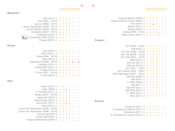| 0000000                                                                                                                                                                                                                                                                                                                                                                                                                                                                                                                                                            | (0.200000000)                                                                                                                                                                                                                                                                                                                                                                                                                                |
|--------------------------------------------------------------------------------------------------------------------------------------------------------------------------------------------------------------------------------------------------------------------------------------------------------------------------------------------------------------------------------------------------------------------------------------------------------------------------------------------------------------------------------------------------------------------|----------------------------------------------------------------------------------------------------------------------------------------------------------------------------------------------------------------------------------------------------------------------------------------------------------------------------------------------------------------------------------------------------------------------------------------------|
|                                                                                                                                                                                                                                                                                                                                                                                                                                                                                                                                                                    |                                                                                                                                                                                                                                                                                                                                                                                                                                              |
| Mitsubishi                                                                                                                                                                                                                                                                                                                                                                                                                                                                                                                                                         |                                                                                                                                                                                                                                                                                                                                                                                                                                              |
| $\text{ASK (2010)}$<br>Colt (2007 - 2013) $\bullet \bullet \bullet \bullet \bullet \bullet$ -<br>Lancer (2008 - 2011) $\cdot \cdot \cdot \cdot$ - - -<br>Lancer Sportback (2008 - 2011) $\cdot \cdot \cdot \cdot$ - - -<br>Lancer Ralliart (2009 - 2011) $\cdot \cdot \cdot \cdot$ - - - -<br>Outlander (2007 - 2013) $\cdot \cdot \cdot \cdot$ - - -<br>Outlander $(2013) \cdot \cdot \cdot \cdot \cdot$ - - -<br>$\bigtriangledown$ Outlander PHEV (2015 >) $\cdot \cdot \cdot \cdot$ - - -<br>Shogun (2007 >) $\bullet \bullet \bullet \bullet \bullet \bullet$ | Insignia Saloon (2009 >) $\cdot \cdot \cdot \cdot$ - - -<br>Insignia Sports Tourer (2009 >) $\cdot \cdot \cdot \cdot$ - - -<br>Karl (2015 >) • • $x$ • - - -<br>Meriva (2010 >) $\bullet \bullet \bullet \bullet - -$<br>Mokka $(2013) \cdot \cdot \cdot \cdot \cdot$ - - -<br>Zafira (2005 - 2014) $\cdot \cdot \cdot \cdot \cdot$ - $\cdot$<br>Zafira Tourer (2014 >) $\bullet \bullet \bullet \bullet \bullet \bullet \bullet$<br>Peugeot |
| Nissan                                                                                                                                                                                                                                                                                                                                                                                                                                                                                                                                                             | $107(2005 - 2014) \cdot \cdot \cdot$ - - - -                                                                                                                                                                                                                                                                                                                                                                                                 |
|                                                                                                                                                                                                                                                                                                                                                                                                                                                                                                                                                                    | $108(2015) \cdot \cdot \cdot - \cdot -$                                                                                                                                                                                                                                                                                                                                                                                                      |
| Juke $(2010) \rightarrow \rightarrow \rightarrow \rightarrow \rightarrow -$                                                                                                                                                                                                                                                                                                                                                                                                                                                                                        | 207 3dr (2006 - 2012) • • • • - - -                                                                                                                                                                                                                                                                                                                                                                                                          |
| Micra $(2011) \cdot \cdot \cdot \cdot \cdot$                                                                                                                                                                                                                                                                                                                                                                                                                                                                                                                       | 207 5dr (2006 - 2012) $\bullet \bullet \bullet \bullet \bullet \bullet$ -                                                                                                                                                                                                                                                                                                                                                                    |
| Note (2006 - 2013) $\cdot \cdot \cdot$ $\cdot$ - - -                                                                                                                                                                                                                                                                                                                                                                                                                                                                                                               | $207$ SW (2007 - 2012) $\bullet \bullet \bullet \bullet \bullet$ - - -                                                                                                                                                                                                                                                                                                                                                                       |
| Note $(2014) \cdot \cdot \cdot \cdot \cdot$                                                                                                                                                                                                                                                                                                                                                                                                                                                                                                                        | $2008(2013>)$ $\bullet$ $\bullet$ $\bullet$ $\bullet$ $\bullet$ $\bullet$ $\bullet$                                                                                                                                                                                                                                                                                                                                                          |
| Qashqai+2 (2008 - 2015) ••••• x - x                                                                                                                                                                                                                                                                                                                                                                                                                                                                                                                                | 208 3dr (2013 >) $\cdot \cdot \cdot \cdot$ - - - -                                                                                                                                                                                                                                                                                                                                                                                           |
| Qashqai (2014 >) $\cdot \cdot \cdot$ $\cdot$ - - -                                                                                                                                                                                                                                                                                                                                                                                                                                                                                                                 | $2085$ dr (2013 >) $\bullet \bullet \bullet \bullet - -$                                                                                                                                                                                                                                                                                                                                                                                     |
| Quest MPV (2012 >) $\bullet \bullet - \bullet \bullet - \bullet$                                                                                                                                                                                                                                                                                                                                                                                                                                                                                                   | 307 (2001 - 2007) $\bullet \bullet \bullet \bullet \bullet \bullet$ -                                                                                                                                                                                                                                                                                                                                                                        |
| Pulsar (2015 >) $\bullet \bullet \bullet \bullet \bullet - -$                                                                                                                                                                                                                                                                                                                                                                                                                                                                                                      | 307 Estate (2002 - 2007) $\cdot \cdot \cdot \cdot$ - - -                                                                                                                                                                                                                                                                                                                                                                                     |
| X-Trail (2007 - 2015) $\cdot \cdot \cdot \cdot$ $\cdot$ - - -                                                                                                                                                                                                                                                                                                                                                                                                                                                                                                      | 308 Hatchback (2007 - 2014) • • • • - - -                                                                                                                                                                                                                                                                                                                                                                                                    |
| X-Trail (2015 >) $\cdot \cdot \cdot \cdot \cdot$ - - -                                                                                                                                                                                                                                                                                                                                                                                                                                                                                                             | $308$ SW (2008 >) $\bullet \bullet \bullet \bullet \bullet - -$                                                                                                                                                                                                                                                                                                                                                                              |
| Opel                                                                                                                                                                                                                                                                                                                                                                                                                                                                                                                                                               | $308 (2014 >) \cdot \cdot \cdot \cdot \cdot$ - - -                                                                                                                                                                                                                                                                                                                                                                                           |
|                                                                                                                                                                                                                                                                                                                                                                                                                                                                                                                                                                    | SB! 3008 (2009 >) $\bullet \bullet \bullet \bullet - -$                                                                                                                                                                                                                                                                                                                                                                                      |
| Adam (2013 >) $\cdot \cdot$ $\cdot$ $\cdot$ $\cdot$ $\cdot$ $\cdot$ $\cdot$ $\cdot$                                                                                                                                                                                                                                                                                                                                                                                                                                                                                |                                                                                                                                                                                                                                                                                                                                                                                                                                              |
| Agila (2008 >) $\cdot \cdot \cdot$ $\cdot$ $\cdot$ - - -                                                                                                                                                                                                                                                                                                                                                                                                                                                                                                           | 508 SW (2011 >) $\cdot \cdot \cdot \cdot$ - - -                                                                                                                                                                                                                                                                                                                                                                                              |
| $\frac{1}{2}$ Ampera (2011 >) • • - • - - -                                                                                                                                                                                                                                                                                                                                                                                                                                                                                                                        | 508 RXH (2013 >) $\bullet \bullet \bullet \bullet \bullet \bullet$                                                                                                                                                                                                                                                                                                                                                                           |
| Antara (2007 - 2015) $\bullet \bullet \bullet \bullet \bullet \bullet$                                                                                                                                                                                                                                                                                                                                                                                                                                                                                             | SB! 5008 (2011 >) $\bullet \bullet \bullet \bullet \bullet \bullet \bullet$                                                                                                                                                                                                                                                                                                                                                                  |
| Astra 5dr (2010 >) $\bullet \bullet \bullet \bullet \bullet \bullet$                                                                                                                                                                                                                                                                                                                                                                                                                                                                                               | RCZ (2011 >) $\cdot \cdot$ - $\cdot$ - - -                                                                                                                                                                                                                                                                                                                                                                                                   |
| Astra Estate (2010 >) $\cdot \cdot \cdot \cdot$ - - -                                                                                                                                                                                                                                                                                                                                                                                                                                                                                                              |                                                                                                                                                                                                                                                                                                                                                                                                                                              |
| Astra GTC (2011 >) $\cdot \cdot \cdot$ x $\cdot$ - - -                                                                                                                                                                                                                                                                                                                                                                                                                                                                                                             | Porsche                                                                                                                                                                                                                                                                                                                                                                                                                                      |
| Astra $(2015) \cdot \cdot \cdot \cdot \cdot$                                                                                                                                                                                                                                                                                                                                                                                                                                                                                                                       |                                                                                                                                                                                                                                                                                                                                                                                                                                              |
| Corsa 3dr Hatchback (2006 - 2015)                                                                                                                                                                                                                                                                                                                                                                                                                                                                                                                                  | Cayenne (2011 >) $\bullet \bullet \bullet \bullet - -$<br>$\frac{1}{2}$ Cayenne E-Hybrid (2015 >) $\cdot \cdot \cdot \cdot$ - - -                                                                                                                                                                                                                                                                                                            |
| Corsa 5dr Hatchback (2006 - 2015)                                                                                                                                                                                                                                                                                                                                                                                                                                                                                                                                  | Panamera (2011 >) $\cdot \cdot$ - $\cdot$ - - -                                                                                                                                                                                                                                                                                                                                                                                              |
| Corsa 5dr(2015 >) $\bullet \bullet \bullet \bullet \bullet \bullet$                                                                                                                                                                                                                                                                                                                                                                                                                                                                                                | $\frac{1}{2}$ Panamera E-Hybrid (2015 >) • • - • - - -                                                                                                                                                                                                                                                                                                                                                                                       |
| Corsa VXR (2007 >) $\bullet \bullet \bullet \bullet \bullet \bullet$                                                                                                                                                                                                                                                                                                                                                                                                                                                                                               |                                                                                                                                                                                                                                                                                                                                                                                                                                              |
| Insignia Hatchback (2009 >) $\cdot \cdot \cdot$ $\cdot$ $\cdot$ $\cdot$ $\cdot$ $\cdot$ $\cdot$                                                                                                                                                                                                                                                                                                                                                                                                                                                                    |                                                                                                                                                                                                                                                                                                                                                                                                                                              |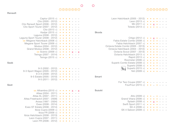|                                                                                                                                                                                                                                                                                                                                                                                                                                                                                                                                                                                                                                                                                               | WYYYY©                                                                                                                                                                                                                                                    | WYYYY©                                                                                                                                                                                                                                                                                                                                                                                                                                  |
|-----------------------------------------------------------------------------------------------------------------------------------------------------------------------------------------------------------------------------------------------------------------------------------------------------------------------------------------------------------------------------------------------------------------------------------------------------------------------------------------------------------------------------------------------------------------------------------------------------------------------------------------------------------------------------------------------|-----------------------------------------------------------------------------------------------------------------------------------------------------------------------------------------------------------------------------------------------------------|-----------------------------------------------------------------------------------------------------------------------------------------------------------------------------------------------------------------------------------------------------------------------------------------------------------------------------------------------------------------------------------------------------------------------------------------|
| Renault                                                                                                                                                                                                                                                                                                                                                                                                                                                                                                                                                                                                                                                                                       |                                                                                                                                                                                                                                                           |                                                                                                                                                                                                                                                                                                                                                                                                                                         |
| Clio Renault Sport (2006 - 2012) • • • • - - -<br>Clio Sport Tourer (2007 - 2012) $\cdot \cdot \cdot \cdot$ - - -                                                                                                                                                                                                                                                                                                                                                                                                                                                                                                                                                                             | Captur (2015 >) $\bullet \bullet \bullet \bullet \bullet - -$<br>Clio (2005 - 2012) $\bullet \bullet \bullet \bullet \bullet \bullet$ -<br>Clio (2013 >) $\bullet \bullet \bullet \bullet \bullet - -$<br>Kadjar (2015 >) $\cdot \cdot \cdot \cdot$ - - - | Leon Hatchback (2005 - 2012) $\cdot \cdot \cdot \cdot$ - - -<br>Leon (2013 >) $\bullet \bullet \bullet \bullet - - -$<br>Mii (2011 >) • • $\times$ • – – –<br>Toledo (2013 >) $\cdot \cdot \cdot \cdot$ - - -<br>Skoda                                                                                                                                                                                                                  |
| Laguna (2008 - 2012) $\cdot \cdot \cdot \cdot$ - - -<br>Laquna Sport Tourer (2008 - 2012) $\cdot \cdot \cdot \cdot$ - - - -<br>SB! Megane Hatchback $(2008) \cdot \cdot \cdot \cdot \cdot$<br>Megane Sport Tourer (2009 >) $\cdot \cdot \cdot \cdot$ - - -<br>Modus (2004 - 2012) $\cdot \cdot \cdot \cdot$ - - -<br>Grand Modus (2008 - 2012) ••••• - - -<br>Twingo (2007 - 2014) $\bullet \bullet - \bullet -$                                                                                                                                                                                                                                                                              | SB! Scenic $(2009 >) \cdot \cdot \cdot \cdot \cdot \times$ - X<br>Twingo $(2015) \cdot \cdot \cdot - \cdot -$                                                                                                                                             | Citigo (2012 >) $\bullet \bullet x \bullet - -$<br>Fabia Estate Combi (2008 >) $\cdot \cdot \cdot$ $\cdot$ - - -<br>Fabia Hatchback (2007 >) $\cdot \cdot \cdot \cdot$ - - -<br>Octavia Estate Combi (2005 - 2013) •••••• -<br>Octavia Hatchback (2004 - 2012) ••••• - - -<br>Octavia Scout (2007 - 2013) • • • • - - -<br>Octavia Hatchback (2013 >) $\cdot \cdot \cdot \cdot$ - - -<br>Rapid (2013 >) $\cdot \cdot \cdot \cdot$ - - - |
| Saab<br>9-3 Sport Wagon (2005 - 2012) ••••• - - -<br>$9-3$ X (2009 - 2012) $\bullet \bullet \bullet \bullet \bullet$ - - -<br>9-5 Estate (2005 - 2010) $\cdot \cdot \cdot \cdot$ - - - -                                                                                                                                                                                                                                                                                                                                                                                                                                                                                                      | $9-3(2002 - 2012) \cdot \cdot \cdot \cdot \cdot$<br>$9-5(2011 - 2012) \cdot \cdot \cdot \cdot \cdot$                                                                                                                                                      | Roomster (2006 >) $\cdot \cdot \cdot \cdot$ - - -<br>Superb Combi Estate (2008 >) $\cdot \cdot \cdot \cdot$ - - -<br>Superb $(2008 >) \cdot \cdot \cdot \cdot \cdot$ - - -<br>Superb (2015 >) $\bullet \bullet \bullet \bullet \bullet \bullet$ - - - - - Yeti (2009 >) $\bullet \bullet \bullet \bullet \bullet \bullet$ - - - -<br>Smart                                                                                              |
| Seat                                                                                                                                                                                                                                                                                                                                                                                                                                                                                                                                                                                                                                                                                          |                                                                                                                                                                                                                                                           | For Two Coupe (2007 >) $\bullet$ - - - - - -<br>FourFour (2015 >) $\bullet \bullet - \bullet -$                                                                                                                                                                                                                                                                                                                                         |
| SB! Alhambra (2010 >) $\cdot \cdot \cdot \cdot \cdot$ x - x<br>Altea (2004 - 2011) $\cdot \cdot \cdot \cdot$ - - -<br>Altea XL (2007 - 2011) $\bullet \bullet \bullet \bullet \bullet \bullet$ -<br>Altea Freetrack4 (2007 - 2009) • • • • - - -<br>Arosa (1997 - 2004) $\bullet$ $\bullet$ - $\bullet$ - - -<br>Exeo (2008 - 2014) $\bullet \bullet \bullet \bullet \bullet \bullet$<br>Exeo ST Estate (2008 - 2014) ••••• - - -<br>Ibiza Cupra (2009 >) $\cdot \cdot \cdot \cdot$ - - -<br>Ibiza Hatchback (2008 - 2013) $\cdot \cdot \cdot \cdot$ - - -<br>Leon Cupra (2007 - 2011) $\cdot \cdot \cdot \cdot$ - - -<br>Leon FR (2006 - 2012) $\bullet \bullet \bullet \bullet \bullet$ - - | Ibiza FR (2009 >) $\bullet \bullet \bullet \bullet - -$                                                                                                                                                                                                   | Suzuki<br>Alto $(2009) \cdot \cdot \cdot - \cdot -$<br>Grand Vitara (2006 >) $\bullet \bullet \bullet \bullet \bullet - -$<br>Splash (2008 >) • • $x \cdot - -$<br>Swift Sport (2011 >) $\cdot \cdot \cdot \cdot$ - - -<br>$SX-4 (2006>)$<br>SX-4 Saloon (2009 >) $\bullet \bullet \bullet \bullet \bullet - -$                                                                                                                         |

 $O$   $O$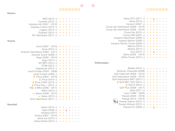|                                                          |  | 00000006 |  |  |
|----------------------------------------------------------|--|----------|--|--|
| Astra GTC (2011 >) $\cdot \cdot \cdot$ x $\cdot$ - - -   |  |          |  |  |
| Astra (2015 >) $\cdot \cdot \cdot \cdot$ - - -           |  |          |  |  |
| Corsa D (2007 >) $\bullet \bullet \bullet \bullet - -$   |  |          |  |  |
| Corsa 3dr Hatchback (2006 - 2015) • • • • - - -          |  |          |  |  |
| Corsa 5dr Hatchback (2006 - 2015) ••••• - -              |  |          |  |  |
| Corsa 5dr (2015 >) $\cdot \cdot \cdot \cdot$ - - -       |  |          |  |  |
| Corsa VXR (2007 >) $\bullet \bullet \bullet \bullet - -$ |  |          |  |  |

#### Toyota

Vauxhall

| BRZ (2012 >)                      | ٠ |   |           |   |                |  |
|-----------------------------------|---|---|-----------|---|----------------|--|
| Forester $(2013)$                 |   |   | ۰         | ۰ |                |  |
| Impreza 5dr (2007 - 2012)         | ٠ | ٠ | $\bullet$ | ٠ |                |  |
| Impreza 5 Door $(2013)$           | ۰ |   | $\bullet$ | ۰ |                |  |
| Legacy $(2012)$                   |   |   | ٠         | ٠ |                |  |
| Outback (2012 >)                  |   |   |           |   |                |  |
| XV Hatchback (2011 >)             |   |   |           |   |                |  |
|                                   |   |   |           |   |                |  |
|                                   |   |   |           |   |                |  |
|                                   |   |   |           |   |                |  |
|                                   |   |   |           |   |                |  |
| Auris (2007 - 2012)               |   |   |           |   |                |  |
| Auris (2013 >)                    |   |   |           |   |                |  |
| Avensis Hatchback (2003 - 2011)   |   |   |           |   |                |  |
| Avensis Tourer (2009 >)           |   |   |           |   |                |  |
| Aygo (2005 - 2014)                |   |   |           | ٠ |                |  |
| Aygo $(2014)$                     |   |   |           |   |                |  |
| EZ MPV (2013 >)                   |   |   |           |   |                |  |
| GT86 (2012>)                      |   |   |           |   |                |  |
| Highlander $(2013)$               | ۰ |   |           |   |                |  |
| Land Cruiser (2003 - 2009)        |   |   |           | ۰ |                |  |
| Land Cruiser (2009 >)             | ۰ |   | ٠         | ۰ |                |  |
| ◆ Prius (2004 - 2010)             | ۰ |   | ٠         | ۰ |                |  |
| $\frac{1}{2}$ Prius (2010 >)      | ٠ |   | ٠         | ۰ |                |  |
| $\frac{1}{2}$ Prius PHEV (2015 >) | ۰ |   | ٠         | ۰ |                |  |
| <b>4</b> Prius Plus + $(2012 >)$  | ٠ |   | ٠         | ٠ |                |  |
| Rav 4 MK3 (2006 - 2011)           | ٠ |   | ٠         | ٠ | $\overline{a}$ |  |
| RAV4 (2013 >)                     | ٠ |   | ٠         | ö |                |  |
| SB! Verso (2009 - 2012)           | ٠ | ٠ | ٠         | ٠ | $\overline{a}$ |  |
| SB! Verso $(2013)$                | ٠ | ٠ | ٠         | ٠ |                |  |
| Yaris Hatchback (2011 >)          | ٠ |   |           |   |                |  |
|                                   |   |   |           |   |                |  |
|                                   |   |   |           |   |                |  |
| Adam $(2013)$                     |   |   |           | ٠ |                |  |
| Agila (2008 >)                    | ۰ | ٠ | ×         | ۰ | $\overline{a}$ |  |
| Ampera (2011)                     | ٠ |   |           | ٠ |                |  |
| Antara (2007 - 2015)              | ۰ |   |           |   |                |  |
| Astra 5dr (2010 >)                |   |   |           |   |                |  |
|                                   | ۰ |   |           |   |                |  |
| Astra Estate (2010 >)             | ۰ | ٠ | ٠         | ٠ | $\overline{a}$ |  |

1)(2)(3)(4)(5)(6)(7

#### Volkswagen

 $\cap$ 

 $\bigcirc$ 

| ٠ |   | × |   |                |                                                                                   |
|---|---|---|---|----------------|-----------------------------------------------------------------------------------|
|   |   |   |   |                |                                                                                   |
| ٠ |   |   |   |                |                                                                                   |
| ٠ |   |   |   |                |                                                                                   |
| ٠ |   |   |   |                |                                                                                   |
|   |   |   |   |                | $\overline{a}$                                                                    |
|   |   |   |   |                |                                                                                   |
|   |   |   |   |                |                                                                                   |
|   |   |   |   |                |                                                                                   |
| ٠ |   |   |   |                |                                                                                   |
| ٠ |   | ٠ |   |                |                                                                                   |
| ۰ | ۰ | ٠ |   |                |                                                                                   |
| ٠ |   |   | ۰ |                |                                                                                   |
| ٠ |   |   |   |                |                                                                                   |
|   |   |   |   |                |                                                                                   |
|   |   |   |   |                |                                                                                   |
|   |   |   |   |                |                                                                                   |
|   |   |   |   |                |                                                                                   |
|   |   |   |   |                |                                                                                   |
|   |   |   |   |                |                                                                                   |
|   |   |   |   |                |                                                                                   |
|   |   |   |   |                |                                                                                   |
|   |   |   |   |                |                                                                                   |
|   |   |   |   |                |                                                                                   |
|   |   |   |   |                |                                                                                   |
|   |   |   |   |                |                                                                                   |
| ٠ |   |   |   |                | i.                                                                                |
| ٠ |   |   |   |                | L,                                                                                |
|   |   |   |   |                |                                                                                   |
|   |   |   |   |                |                                                                                   |
|   |   |   |   |                |                                                                                   |
|   |   |   |   |                |                                                                                   |
| ٠ | ٠ | × | ۰ | $\overline{a}$ | $\frac{1}{2} \left( \frac{1}{2} \right) = \frac{1}{2} \left( \frac{1}{2} \right)$ |
|   |   |   | × |                |                                                                                   |

#### Subaru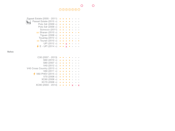



Volvo

| C30 (2007 - 2013)          |  |  |         |  |
|----------------------------|--|--|---------|--|
| S60 (2010)                 |  |  |         |  |
| S80 (2007 >)               |  |  |         |  |
| $V40 (2012 >)$ .           |  |  |         |  |
| V40 Cross Country (2013 >) |  |  |         |  |
| $V60 (2011 >)$ .           |  |  |         |  |
| ◆ V60 PHEV (2015 >)        |  |  |         |  |
| V70 (2008 >)               |  |  |         |  |
| XCGO (2008 >)              |  |  |         |  |
| XC70 (2008 >)              |  |  |         |  |
| XC90 (2003 - 2014)         |  |  | $X - X$ |  |
|                            |  |  |         |  |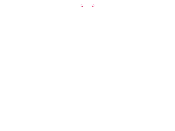